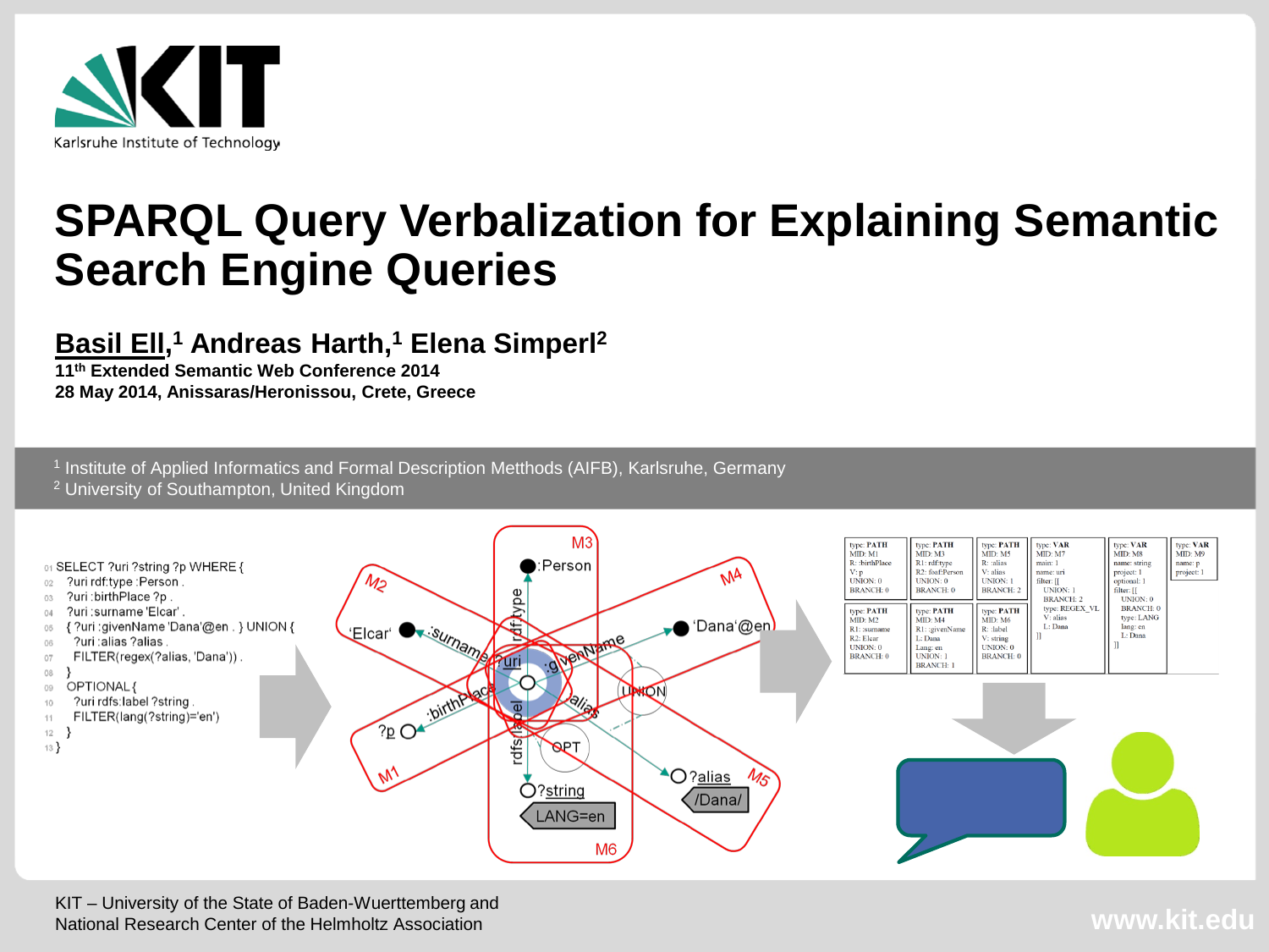

#### **SPARQL Query Verbalization for Explaining Semantic Search Engine Queries**

#### **Basil Ell, <sup>1</sup> Andreas Harth,1 Elena Simperl2**

**11th Extended Semantic Web Conference 2014 28 May 2014, Anissaras/Heronissou, Crete, Greece**

<sup>1</sup> Institute of Applied Informatics and Formal Description Metthods (AIFB), Karlsruhe, Germany

<sup>2</sup> University of Southampton, United Kingdom

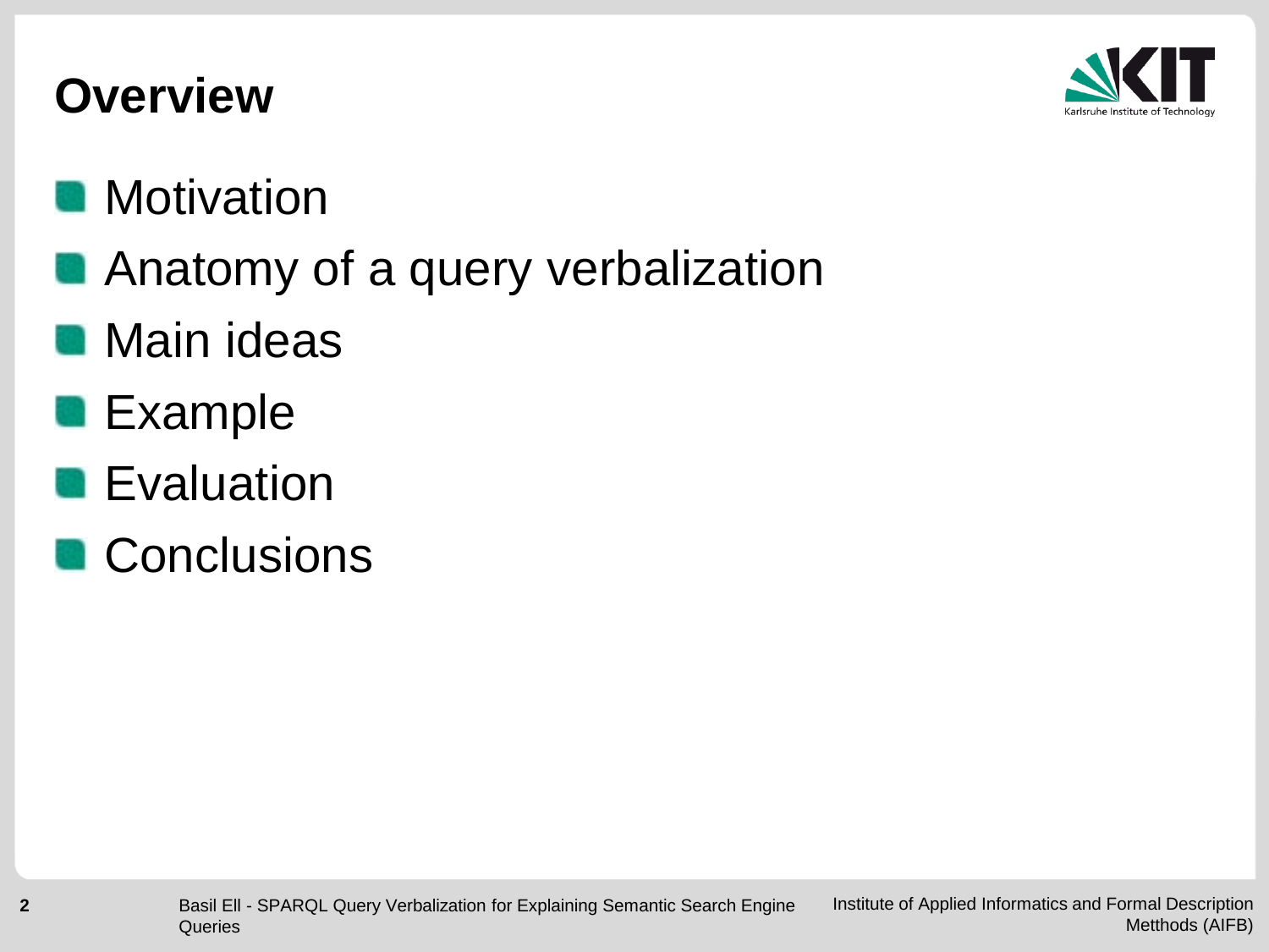

#### **Overview**

#### **Motivation**

**Anatomy of a query verbalization** 

#### **Main ideas**

**Example** 

#### **Evaluation**

**Conclusions**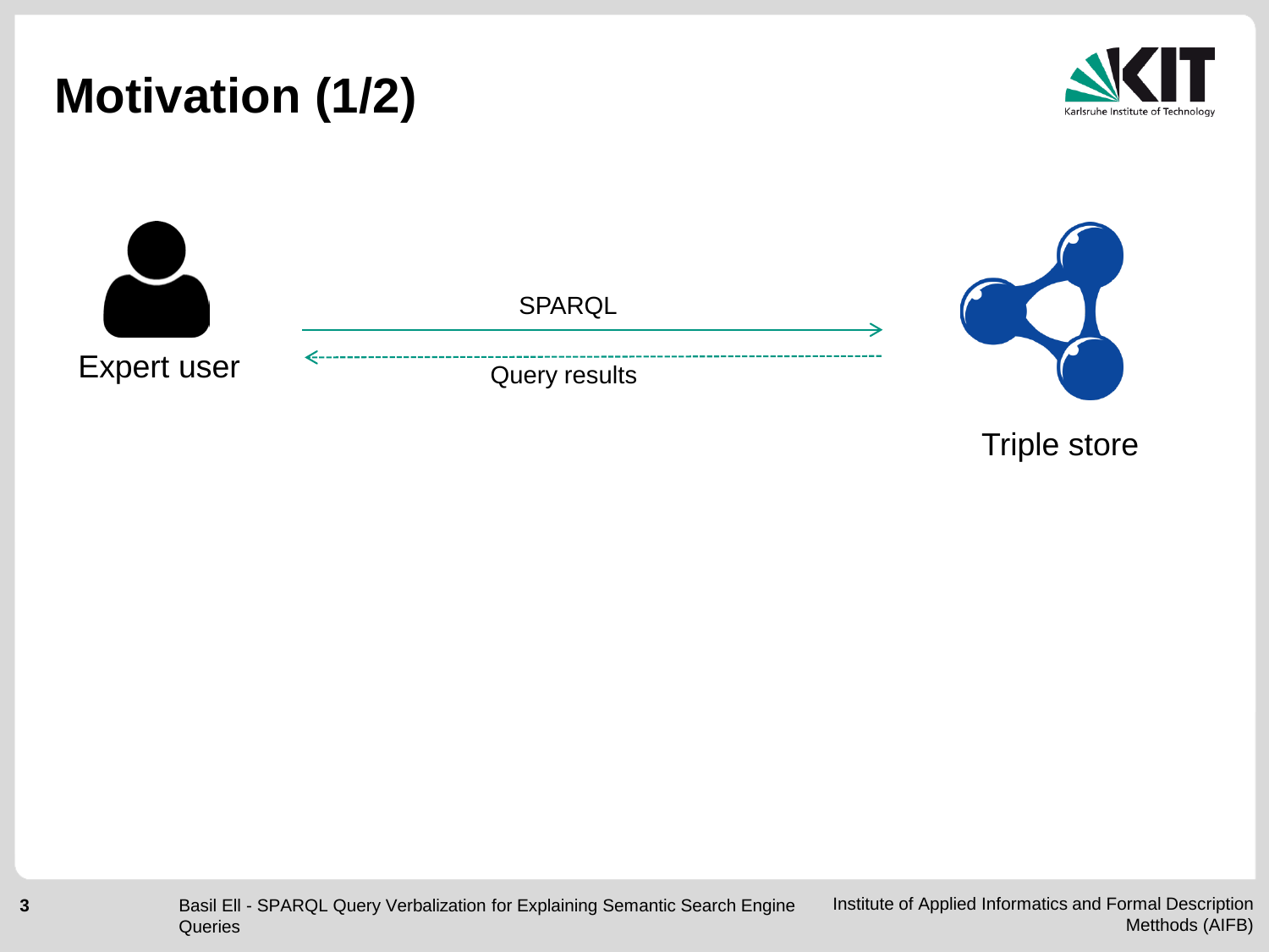

**3**



Triple store

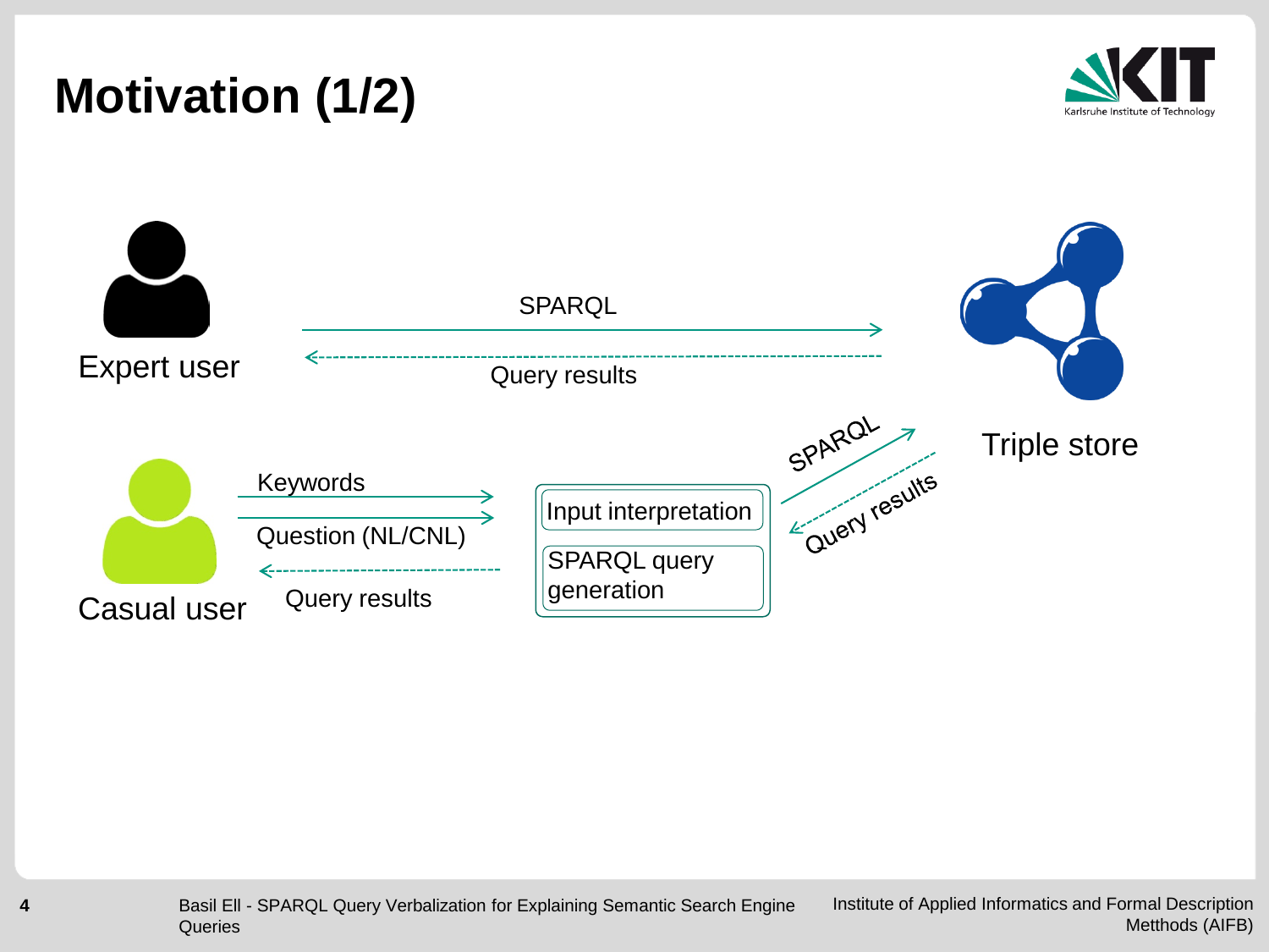



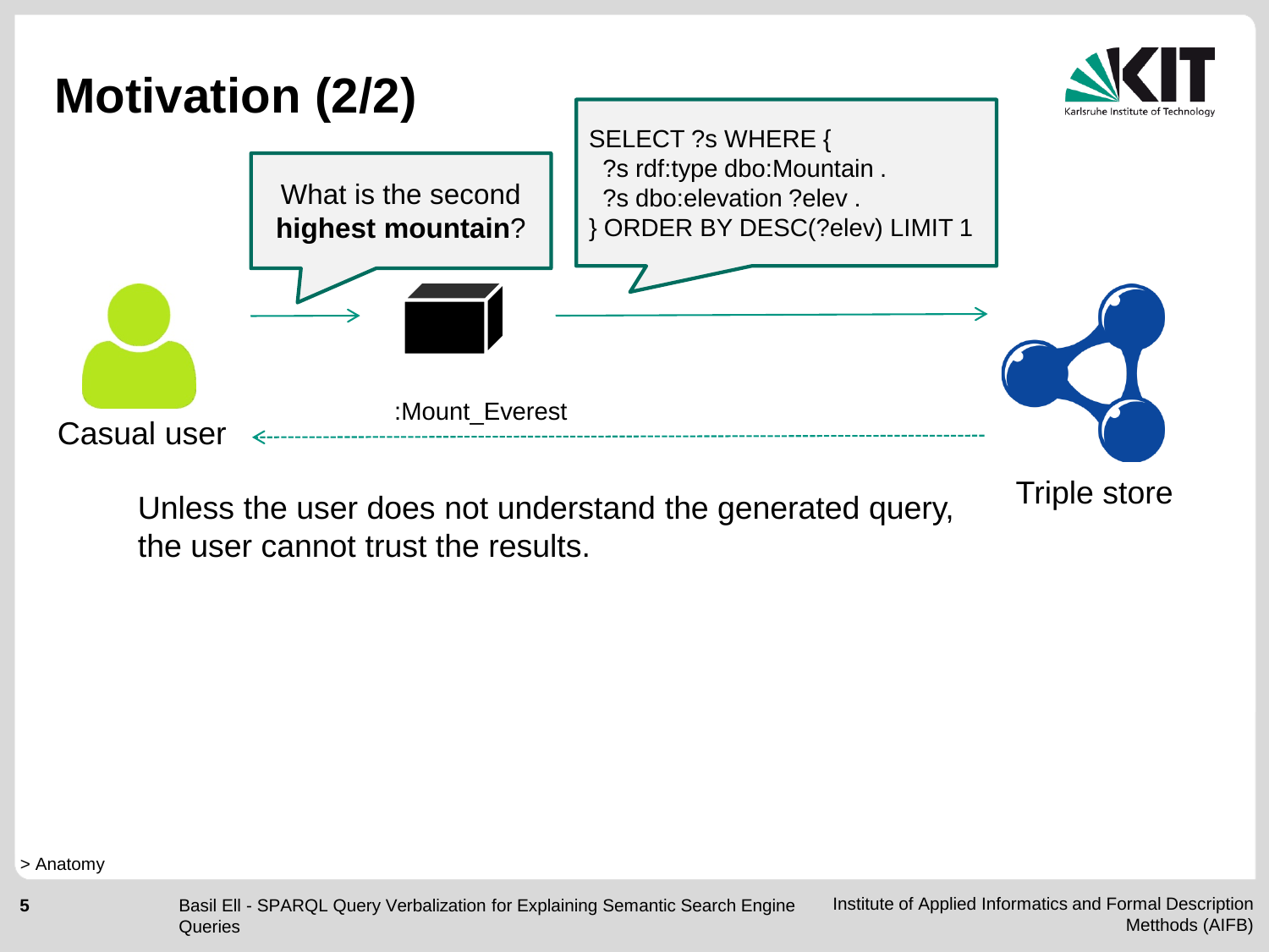

Unless the user does not understand the generated query, the user cannot trust the results.

> Anatomy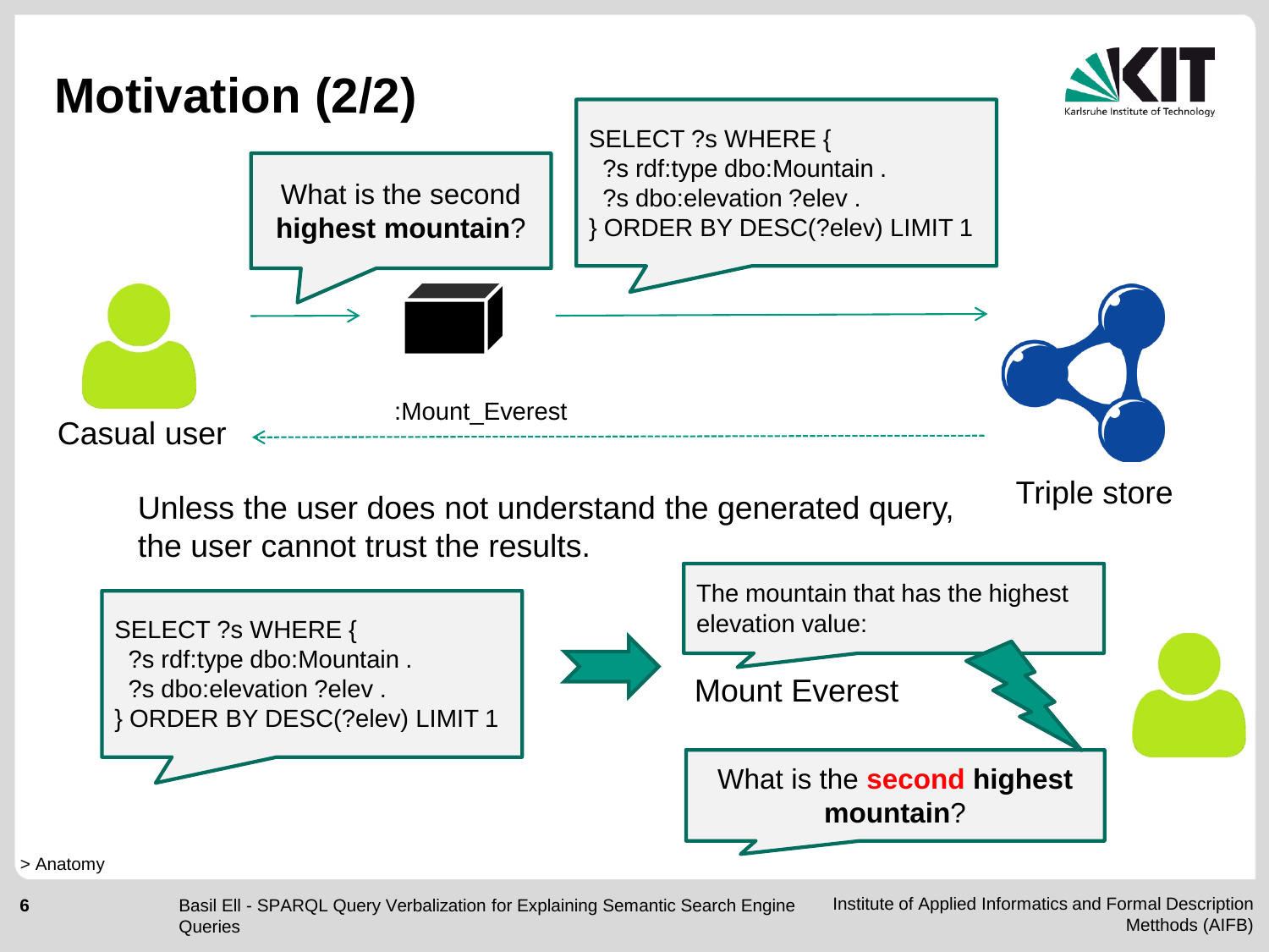

the user cannot trust the results.



#### > Anatomy

Institute of Applied Informatics and Formal Description Metthods (AIFB) Basil Ell - SPARQL Query Verbalization for Explaining Semantic Search Engine **Queries**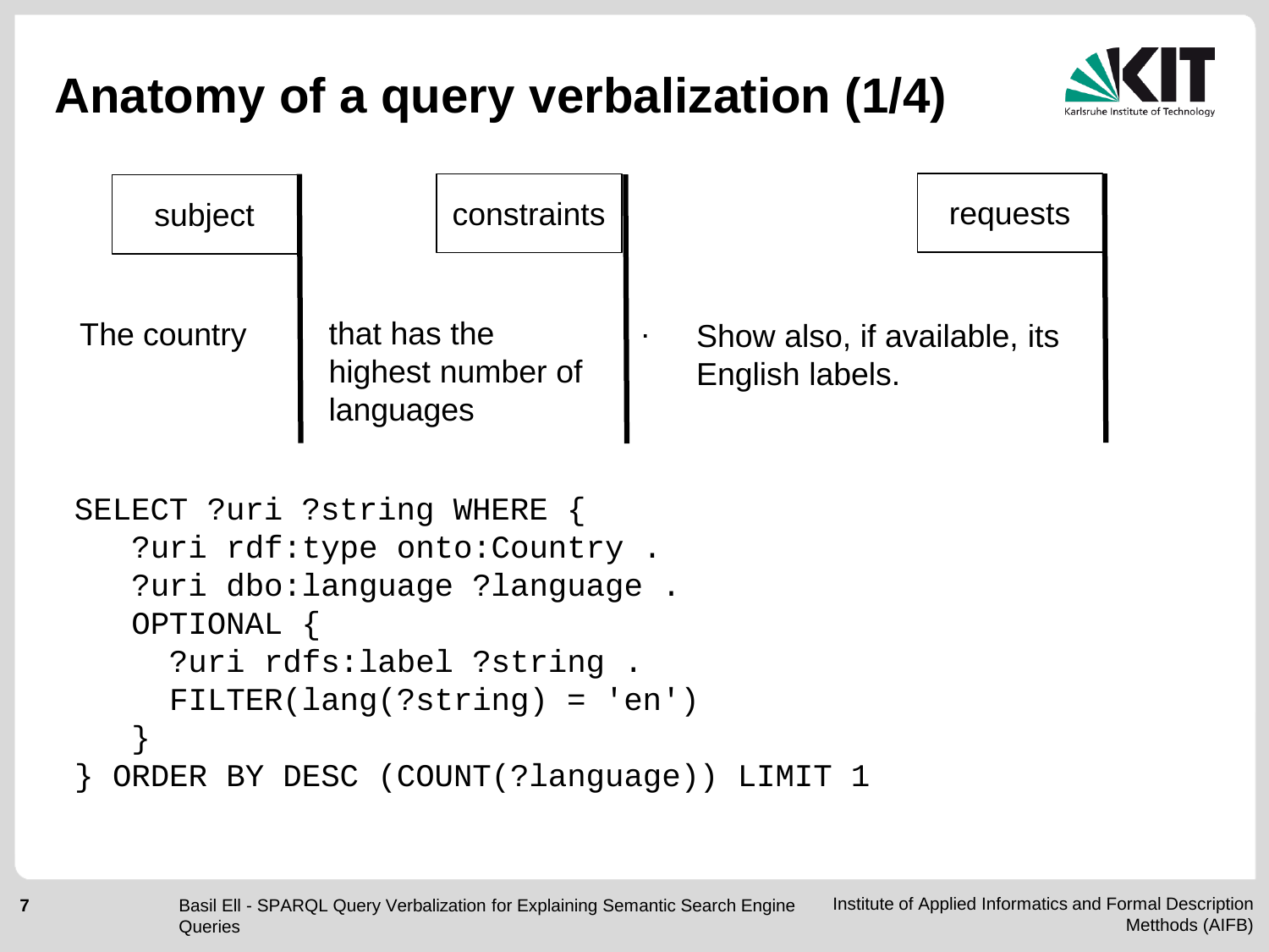

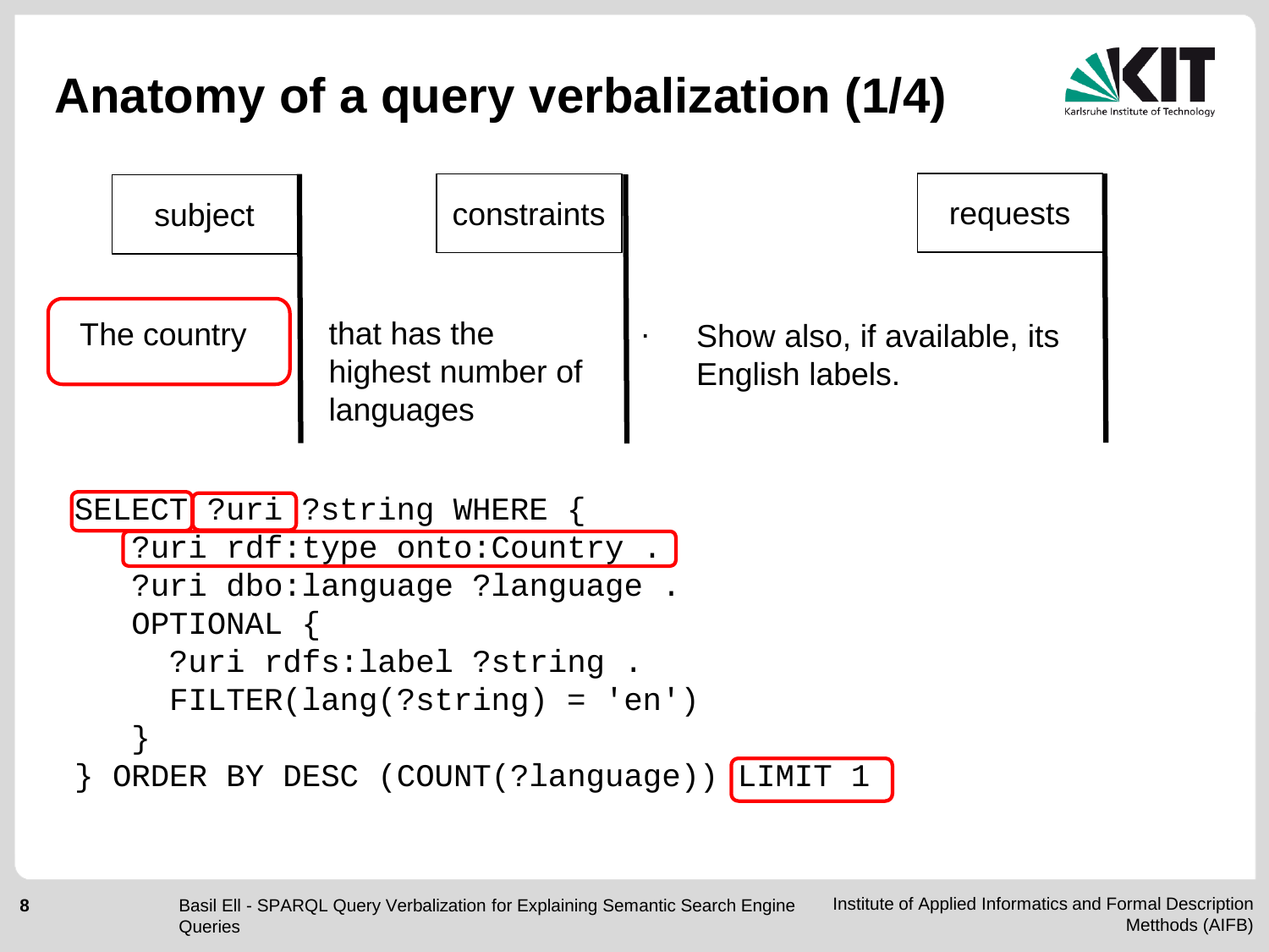

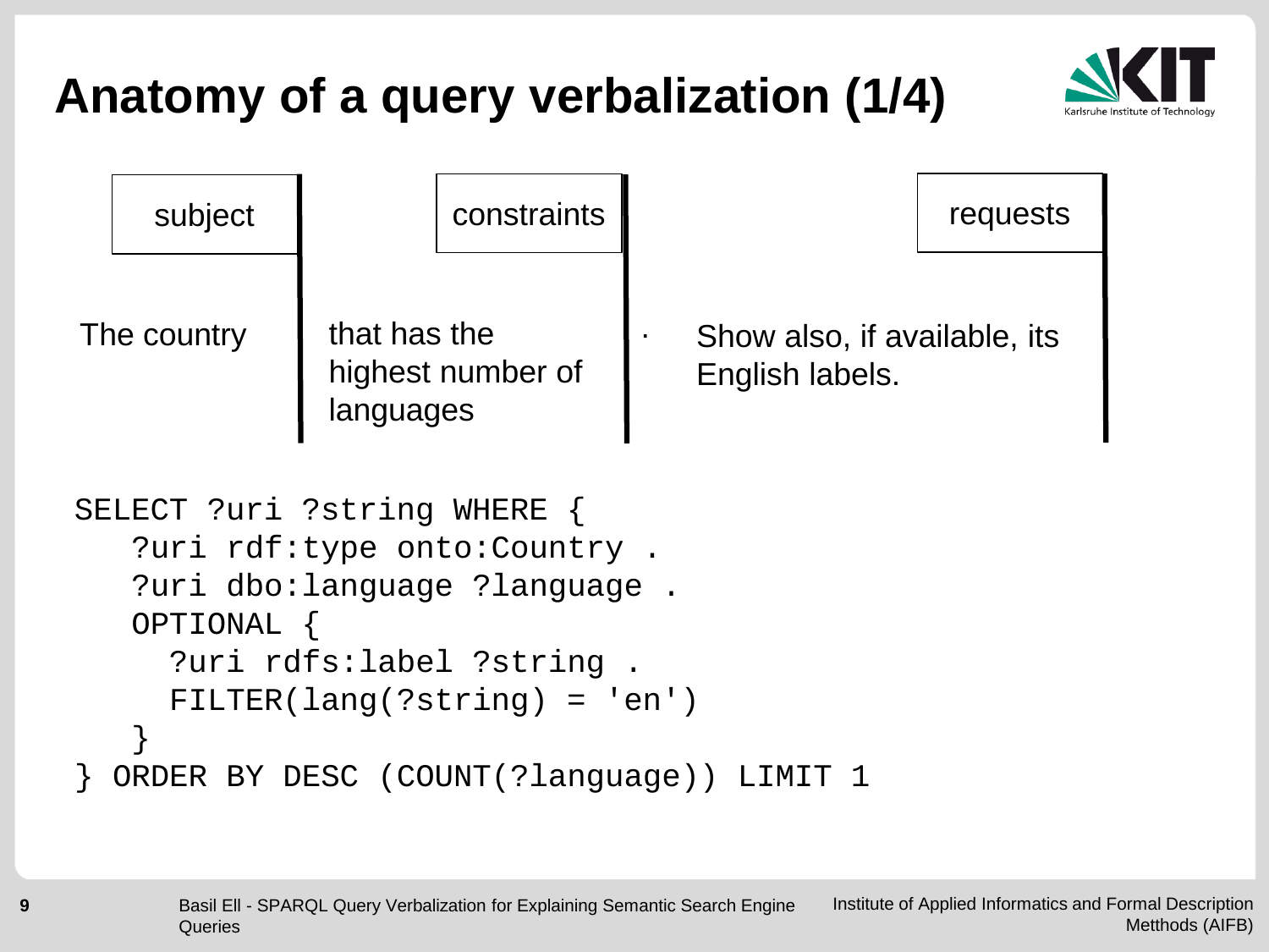

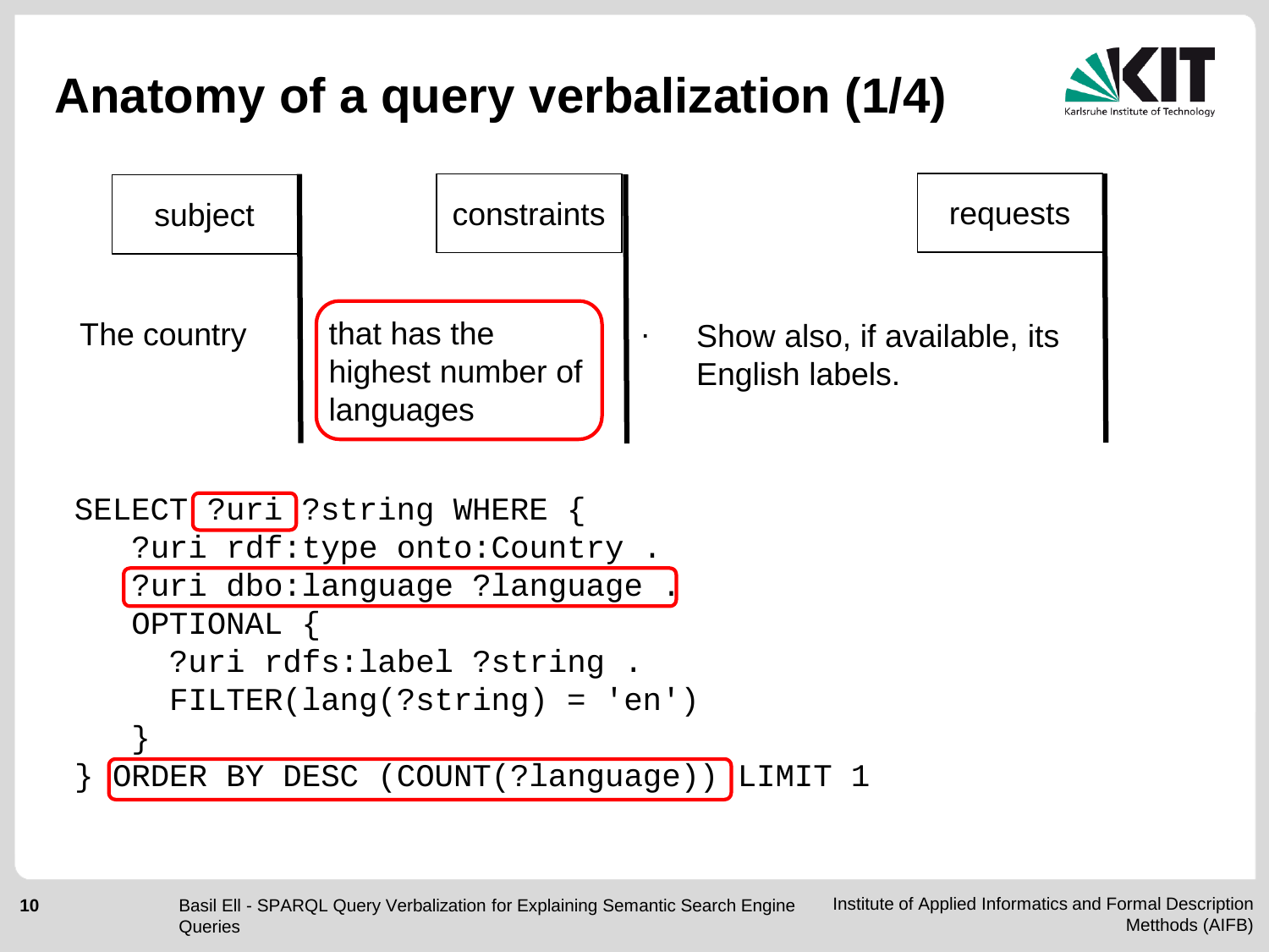

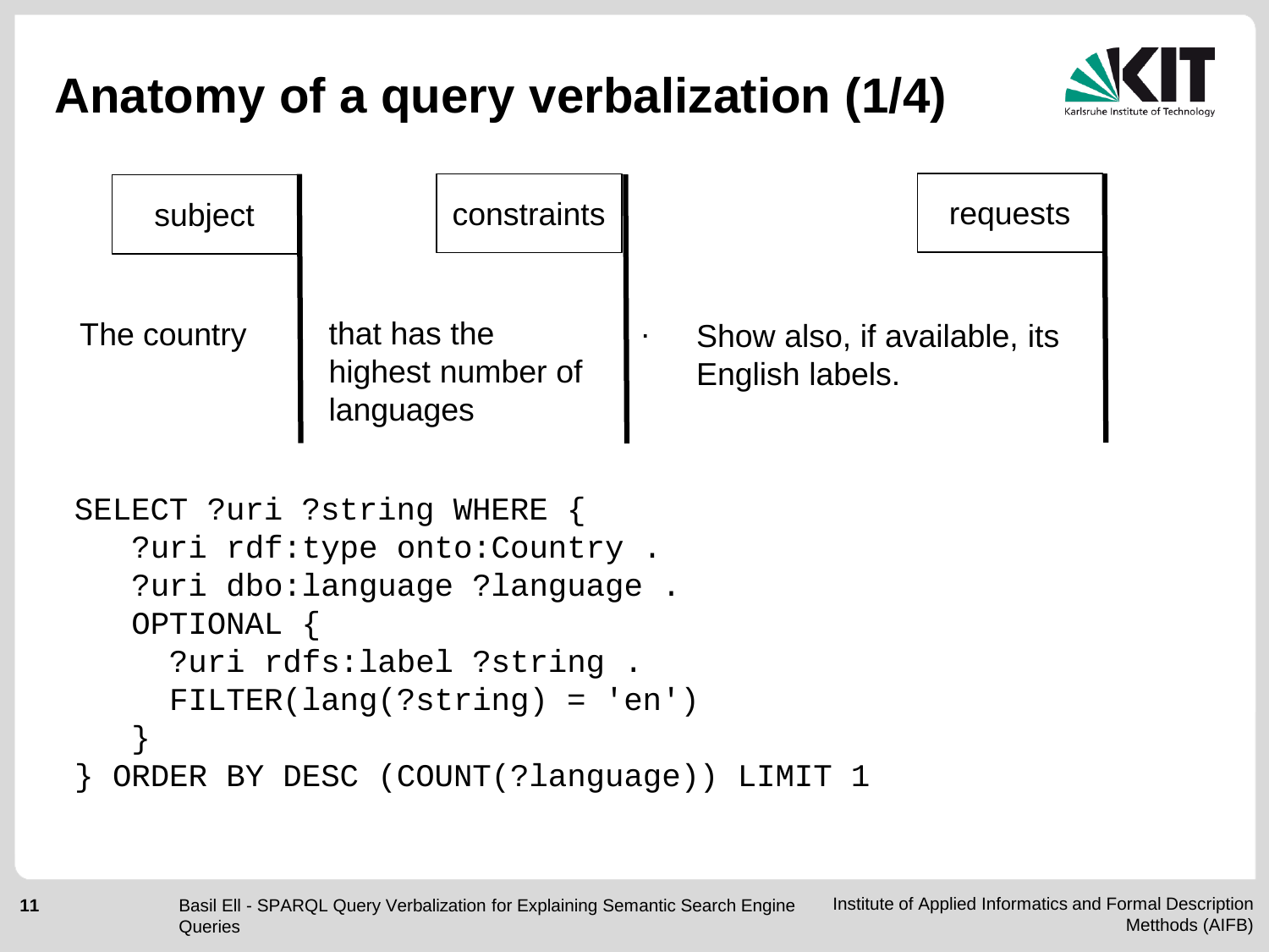

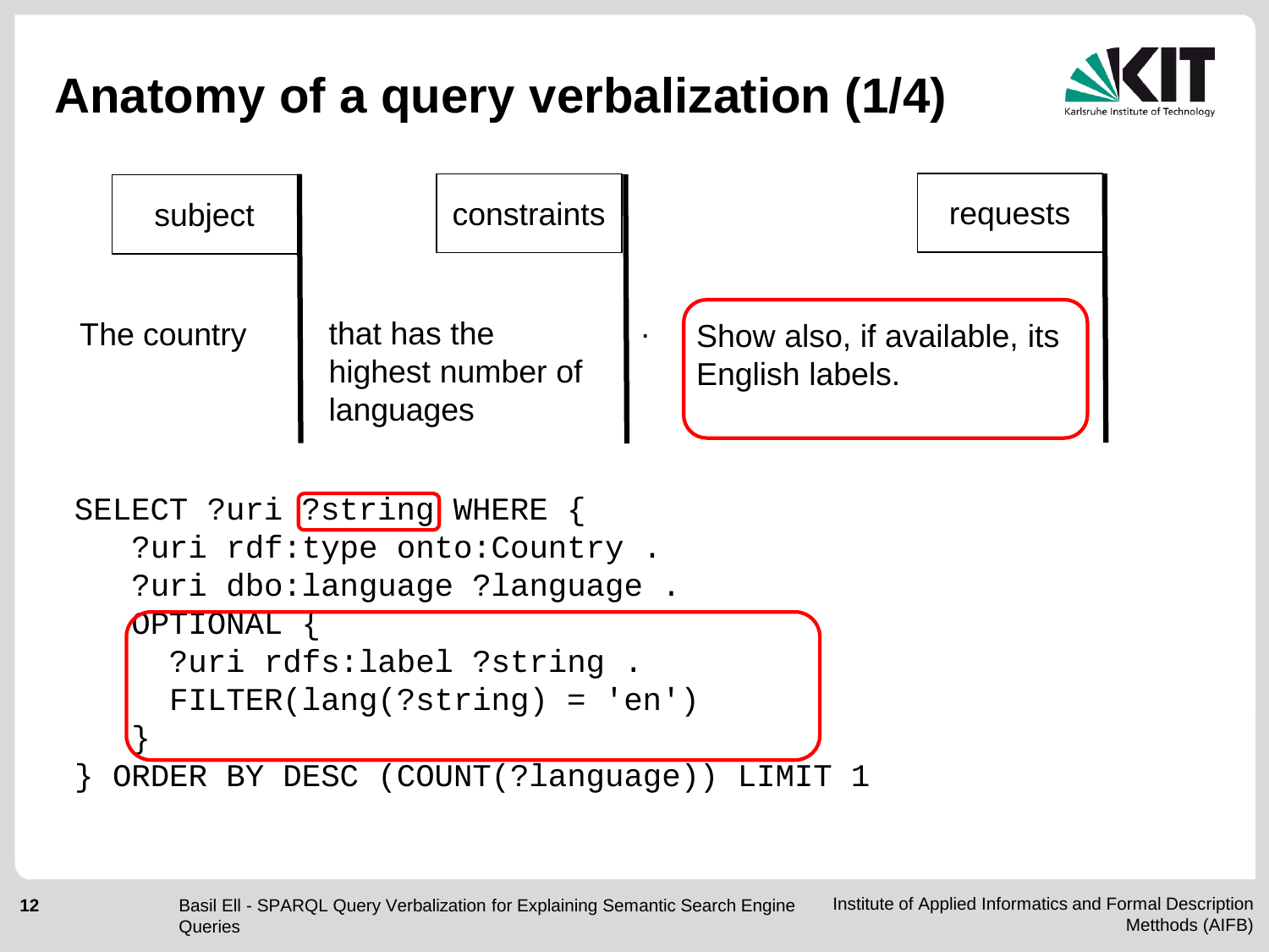

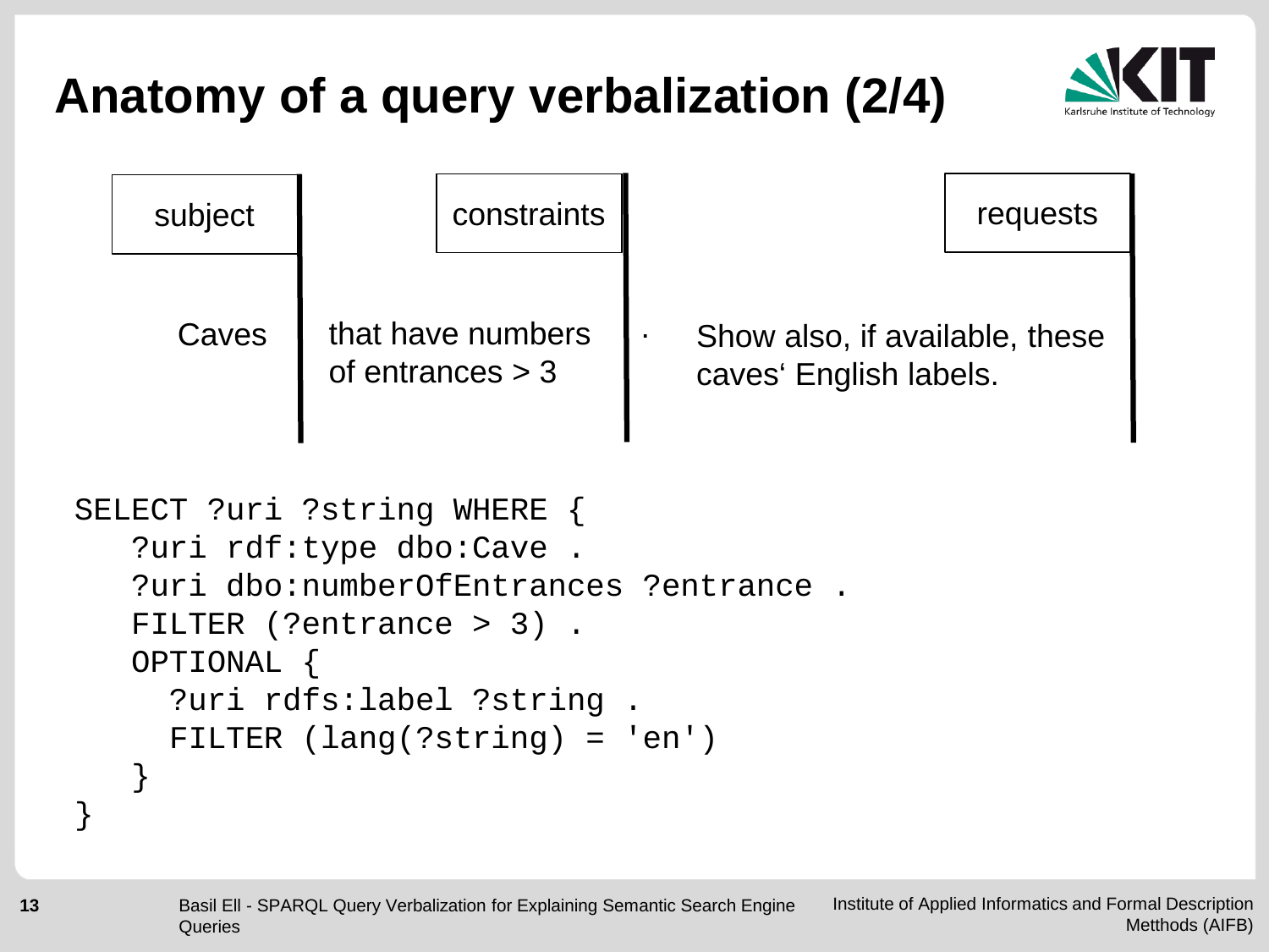

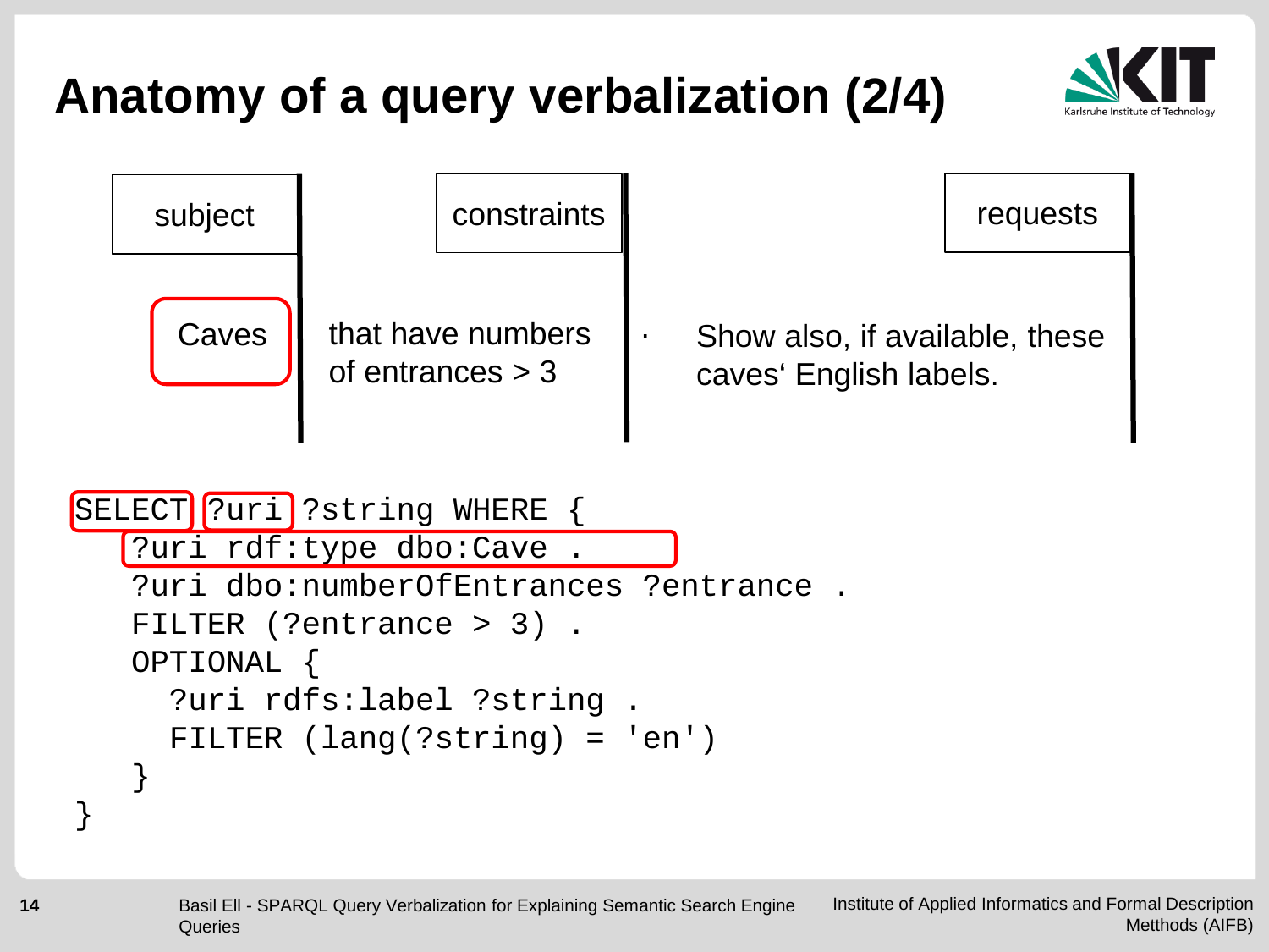

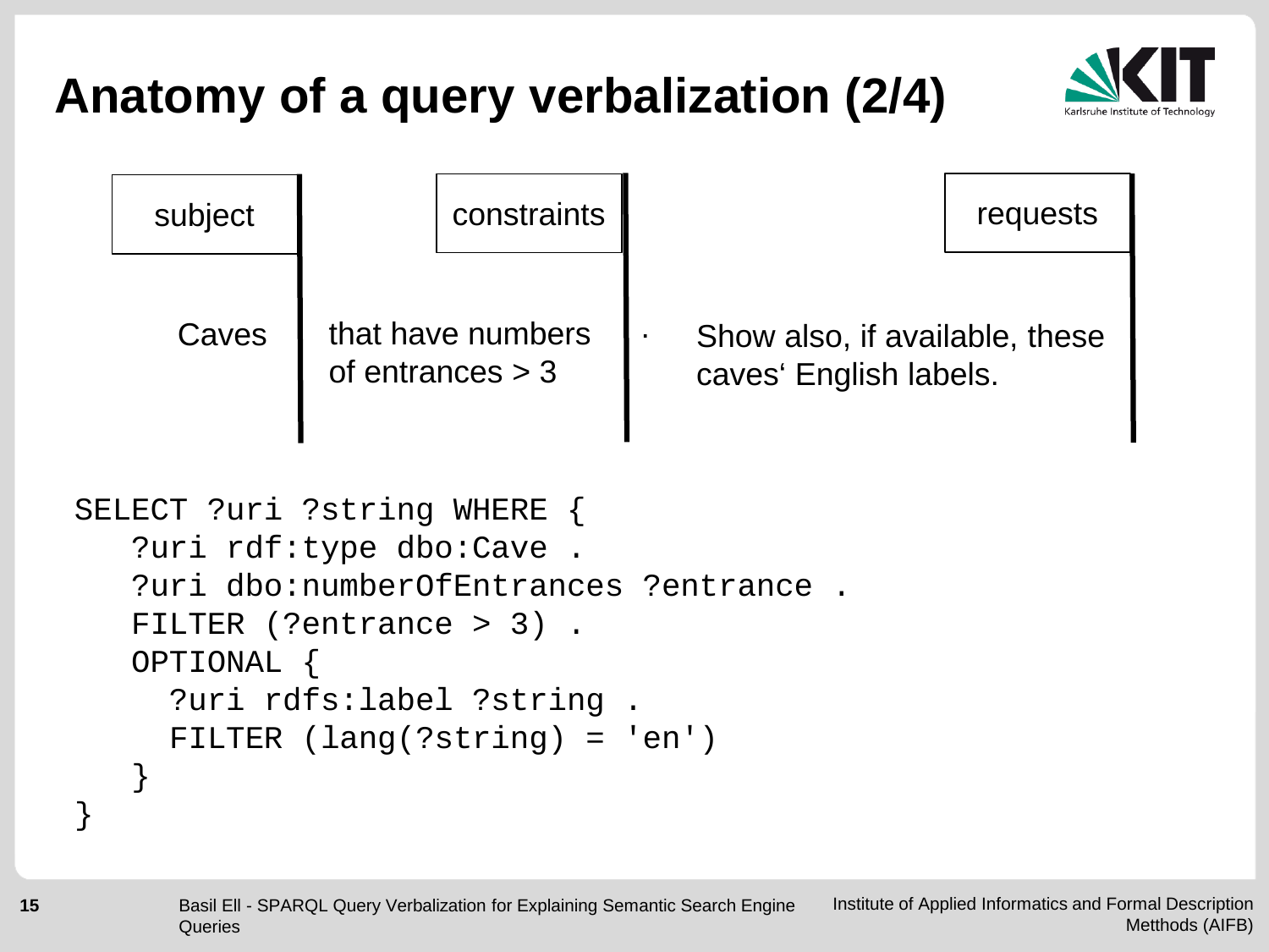

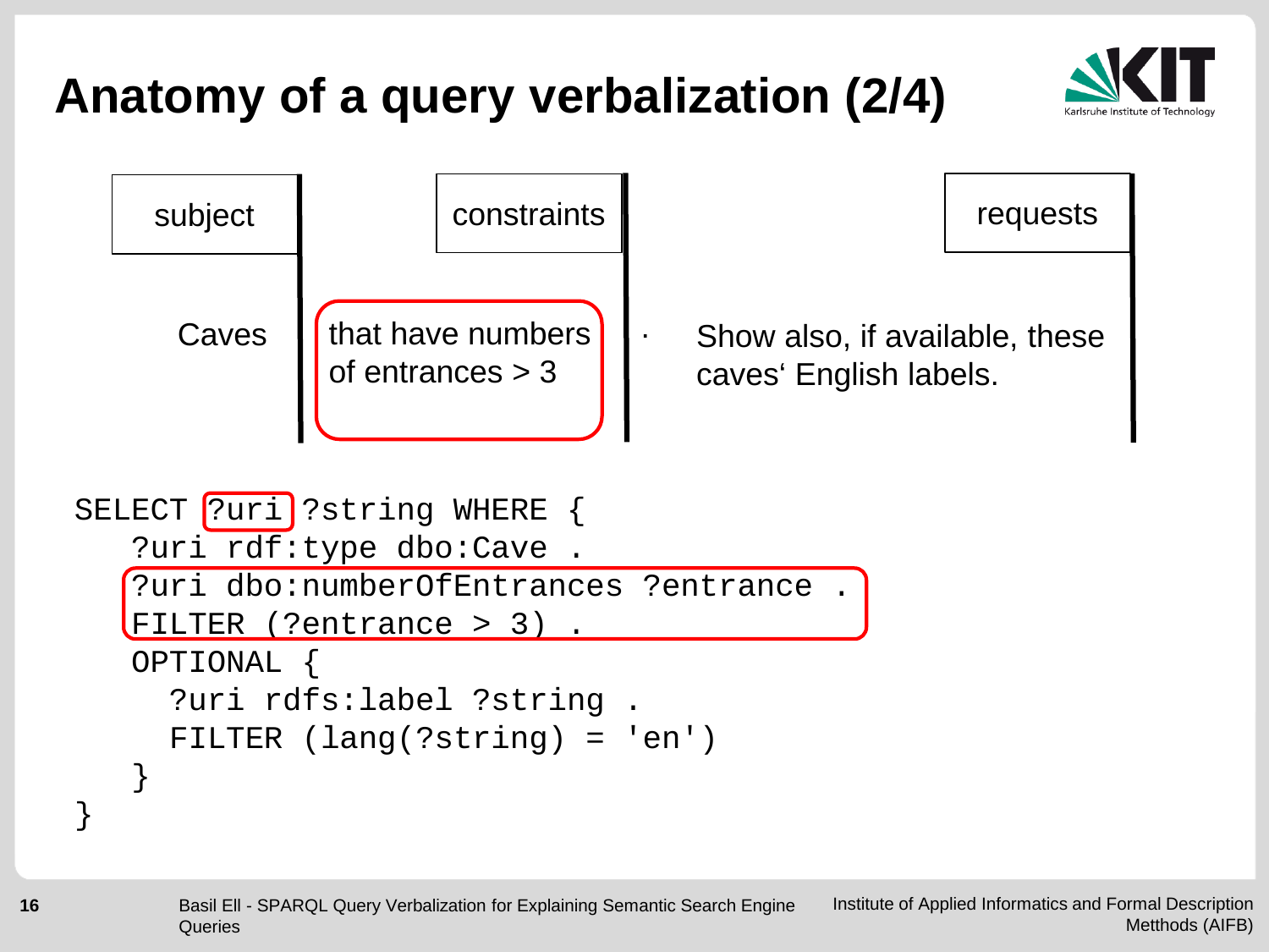

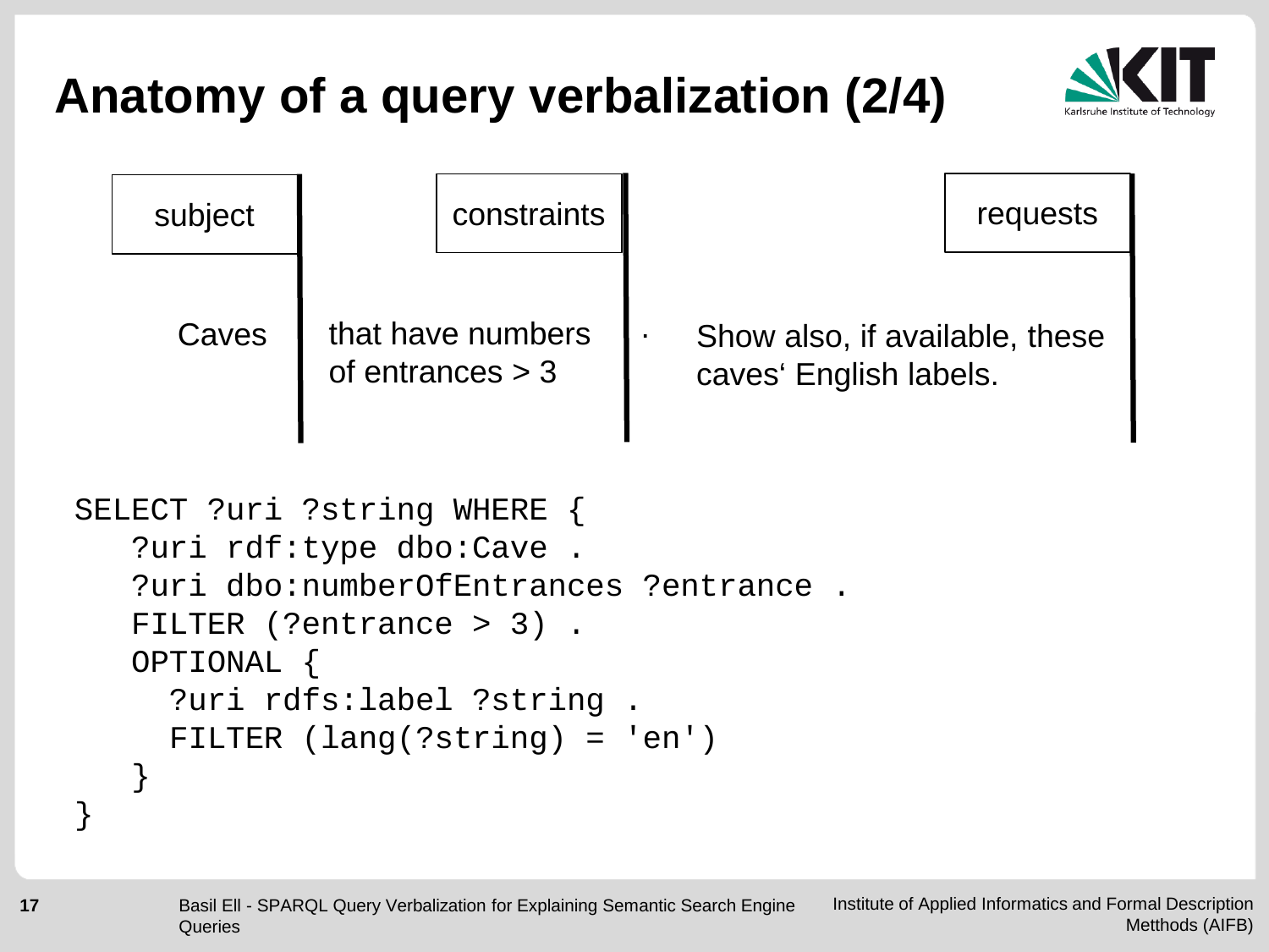

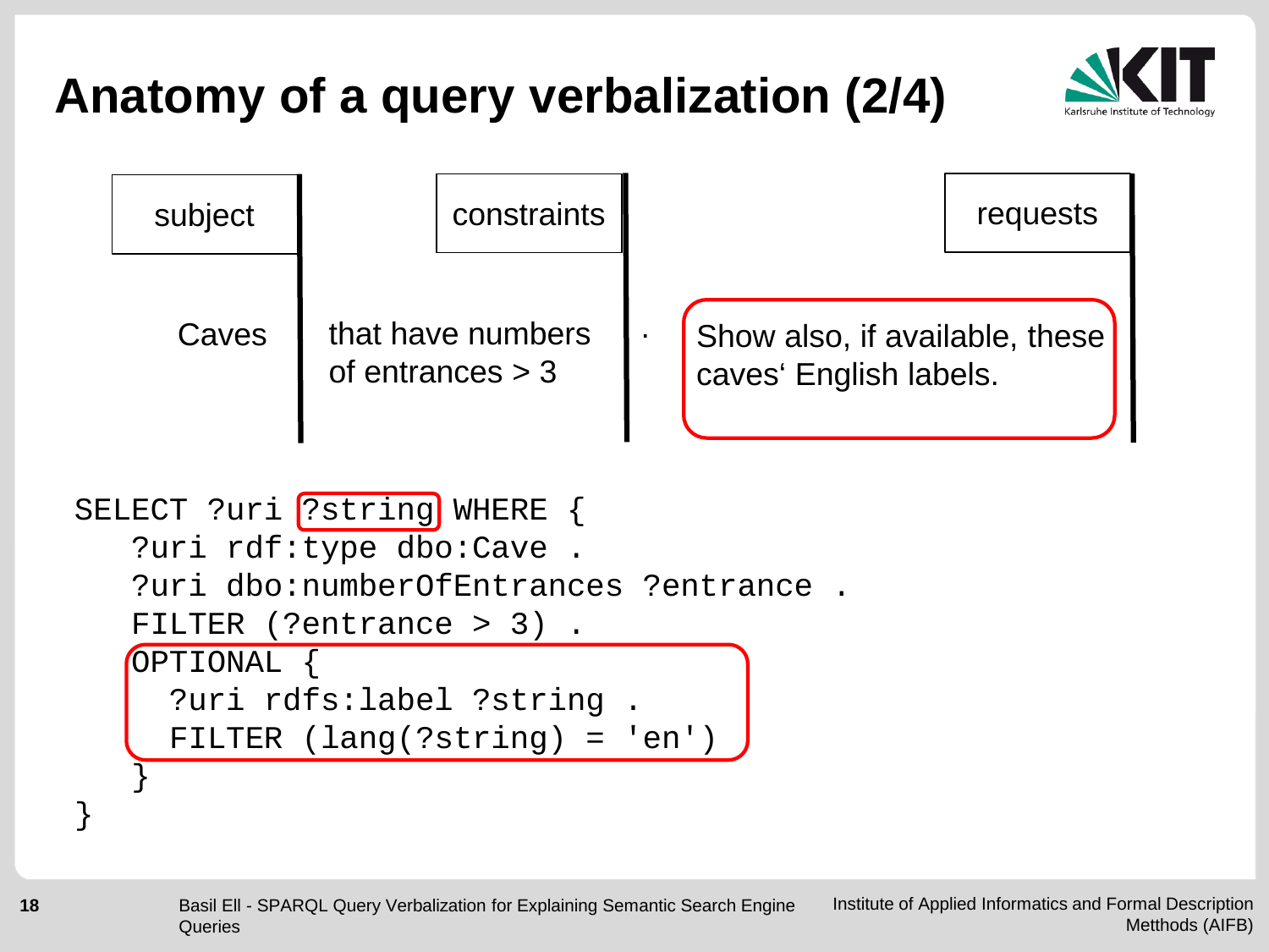



?uri rdfs:label ?string . FILTER (lang(?string) = 'en')

}

}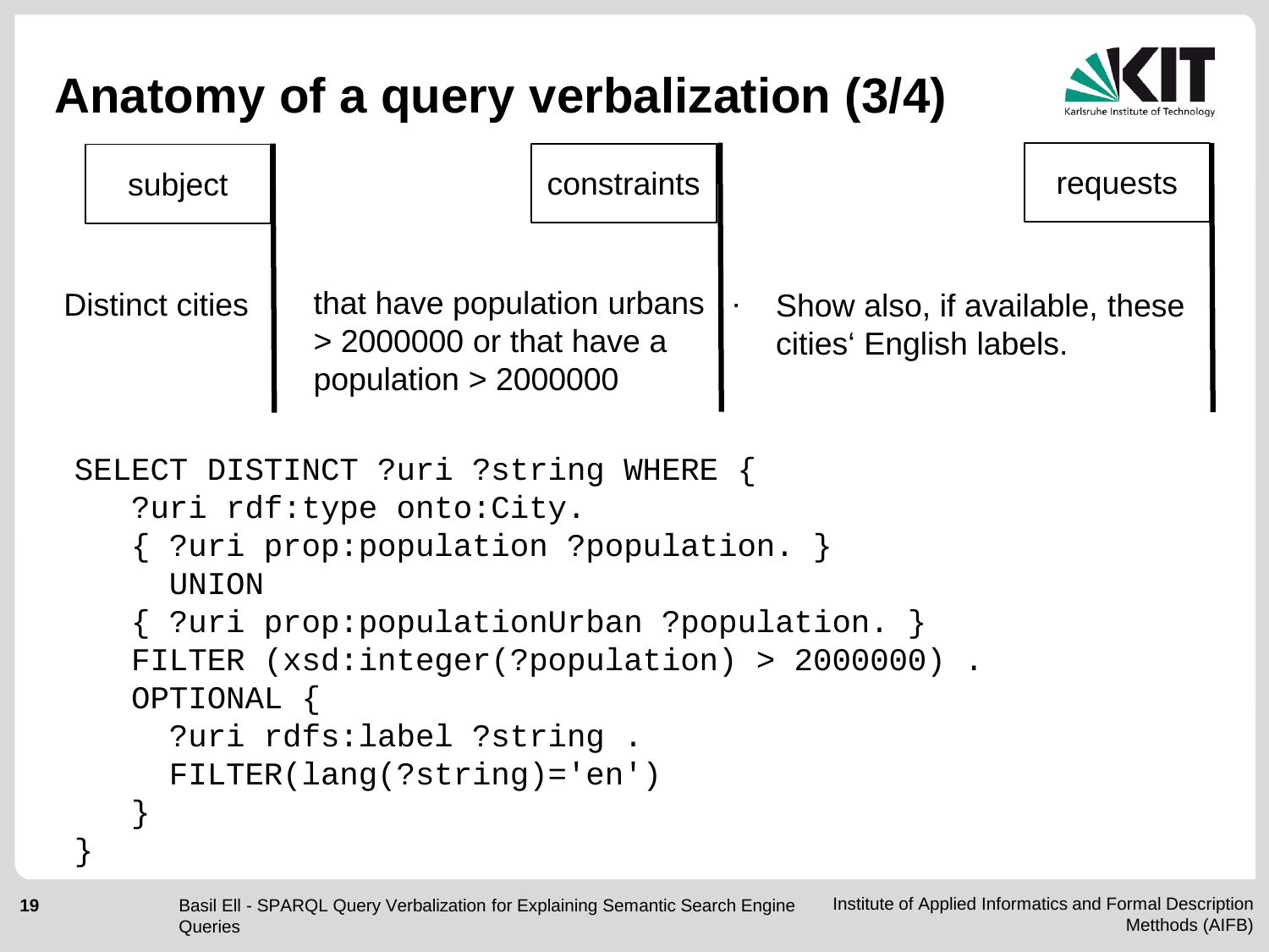

```
subject \vert constraints \vert constraints \vert requests
Distinct cities \parallel that have population urbans
               > 2000000 or that have a 
               population > 2000000
                                           Show also, if available, these 
                                           cities' English labels.
                                         .
SELECT DISTINCT ?uri ?string WHERE { 
    ?uri rdf:type onto:City.
    { ?uri prop:population ?population. } 
      UNION 
    { ?uri prop:populationUrban ?population. }
    FILTER (xsd:integer(?population) > 2000000) .
    OPTIONAL {
      ?uri rdfs:label ?string .
      FILTER(lang(?string)='en')
    }
}
```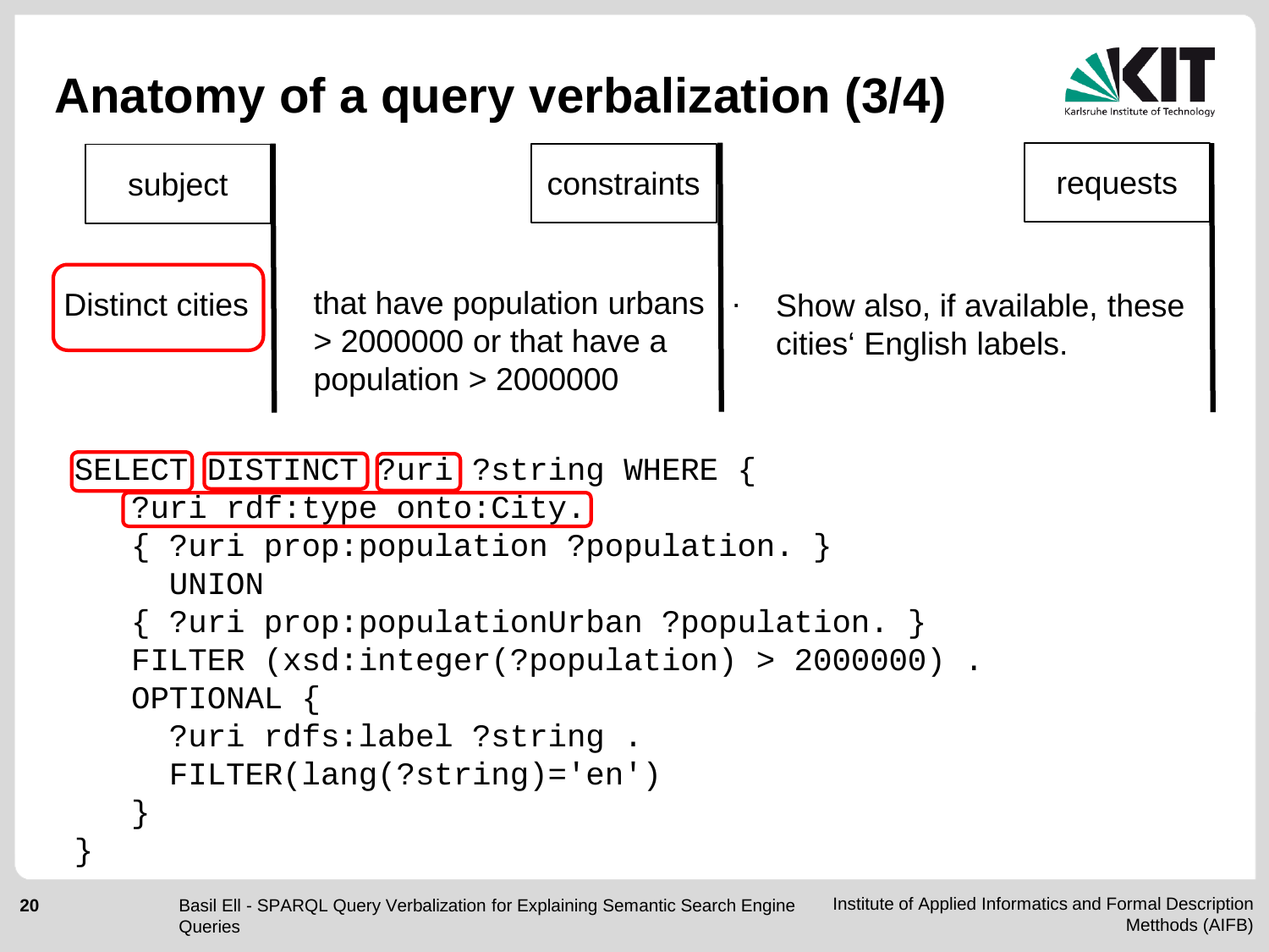

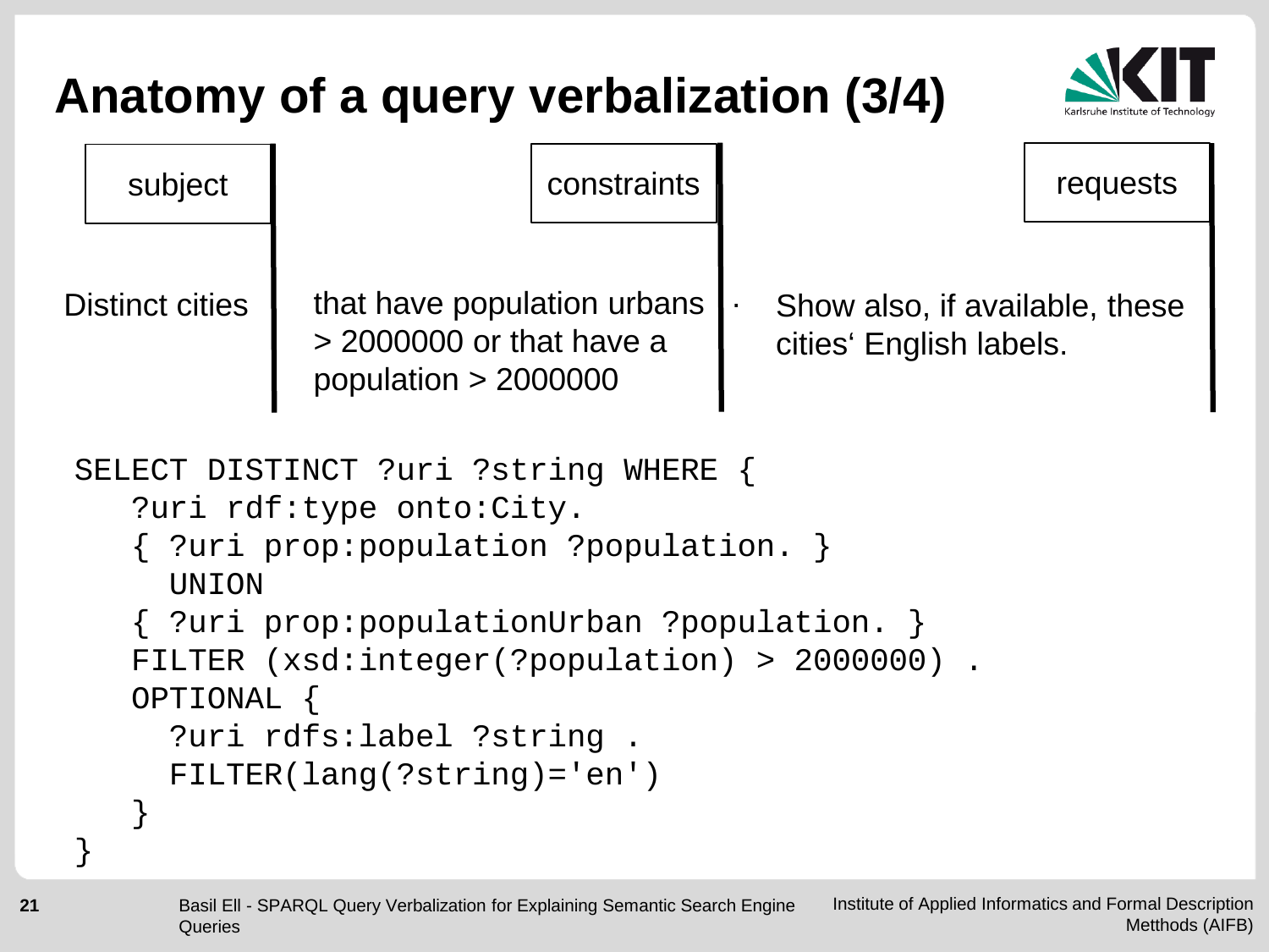

```
subject \vert constraints \vert constraints \vert requests
Distinct cities \parallel that have population urbans
               > 2000000 or that have a 
               population > 2000000
                                           Show also, if available, these 
                                           cities' English labels.
                                         .
SELECT DISTINCT ?uri ?string WHERE { 
    ?uri rdf:type onto:City.
    { ?uri prop:population ?population. } 
      UNION 
    { ?uri prop:populationUrban ?population. }
    FILTER (xsd:integer(?population) > 2000000) .
    OPTIONAL {
      ?uri rdfs:label ?string .
      FILTER(lang(?string)='en')
    }
}
```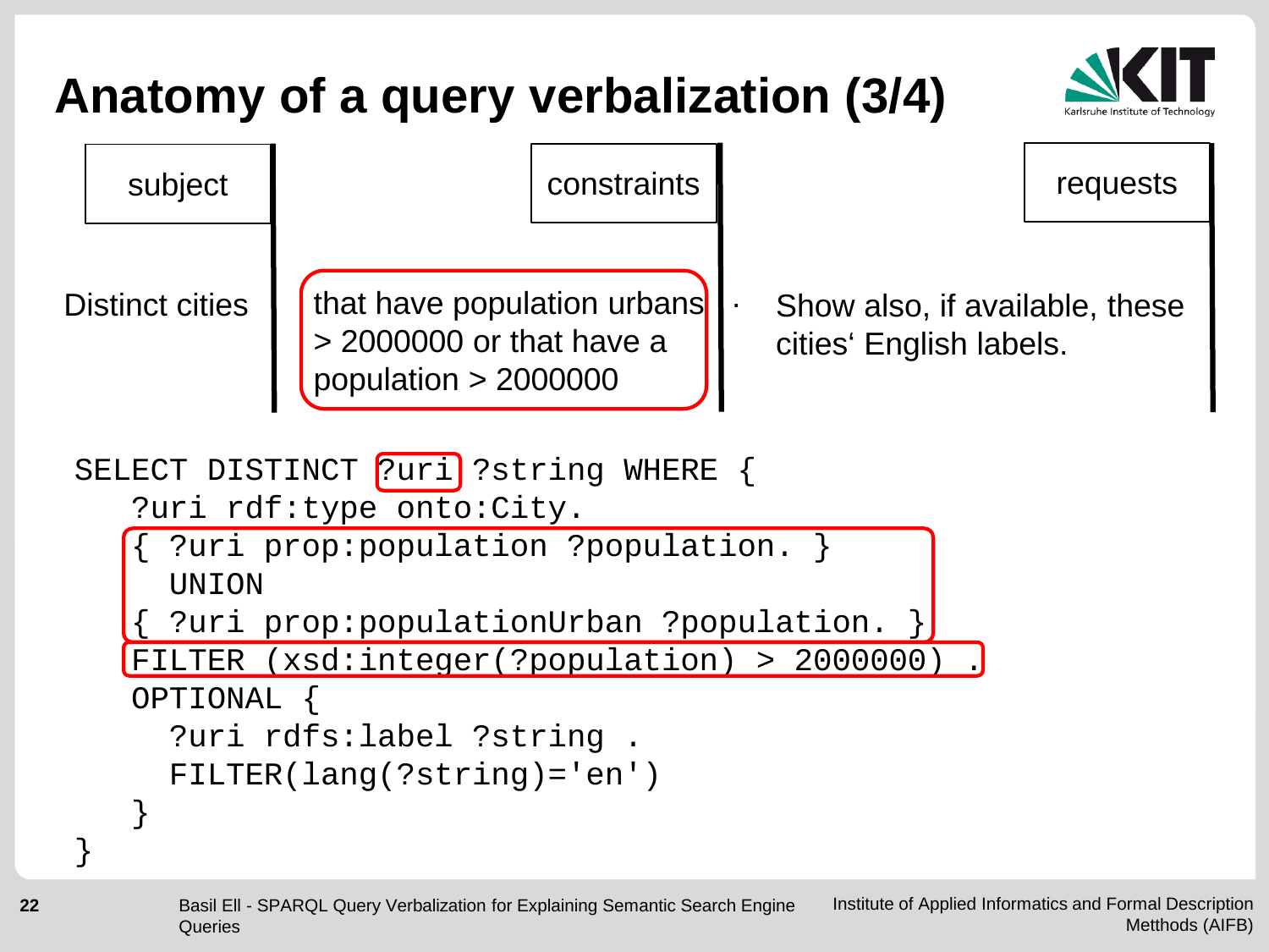#### **Anatomy of a query verbalization (3/4)** subject  $\vert$  constraints  $\vert$  constraints  $\vert$  requests Distinct cities  $\|\cdot\|$  that have population urbans > 2000000 or that have a population > 2000000 Show also, if available, these cities' English labels. . SELECT DISTINCT ?uri ?string WHERE { ?uri rdf:type onto:City. ?uri prop: population ? population. **UNION** ?uri prop: populationUrban ? population. FILTER (xsd:integer(?population) > 2000000 OPTIONAL { ?uri rdfs:label ?string . FILTER(lang(?string)='en') } }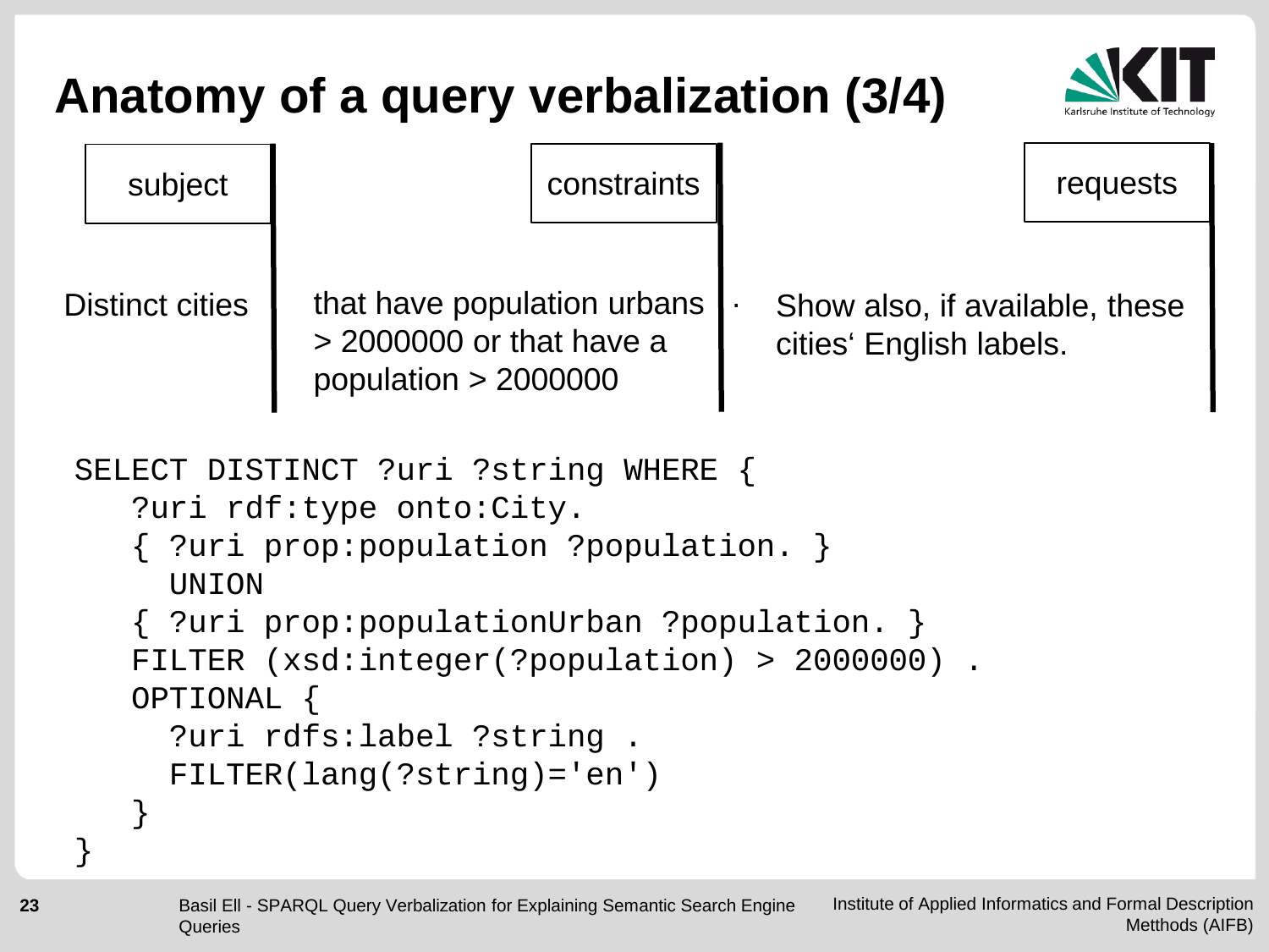

```
subject \vert constraints \vert constraints \vert requests
Distinct cities \parallel that have population urbans
               > 2000000 or that have a 
               population > 2000000
                                           Show also, if available, these 
                                           cities' English labels.
                                         .
SELECT DISTINCT ?uri ?string WHERE { 
    ?uri rdf:type onto:City.
    { ?uri prop:population ?population. } 
      UNION 
    { ?uri prop:populationUrban ?population. }
    FILTER (xsd:integer(?population) > 2000000) .
    OPTIONAL {
      ?uri rdfs:label ?string .
      FILTER(lang(?string)='en')
    }
}
```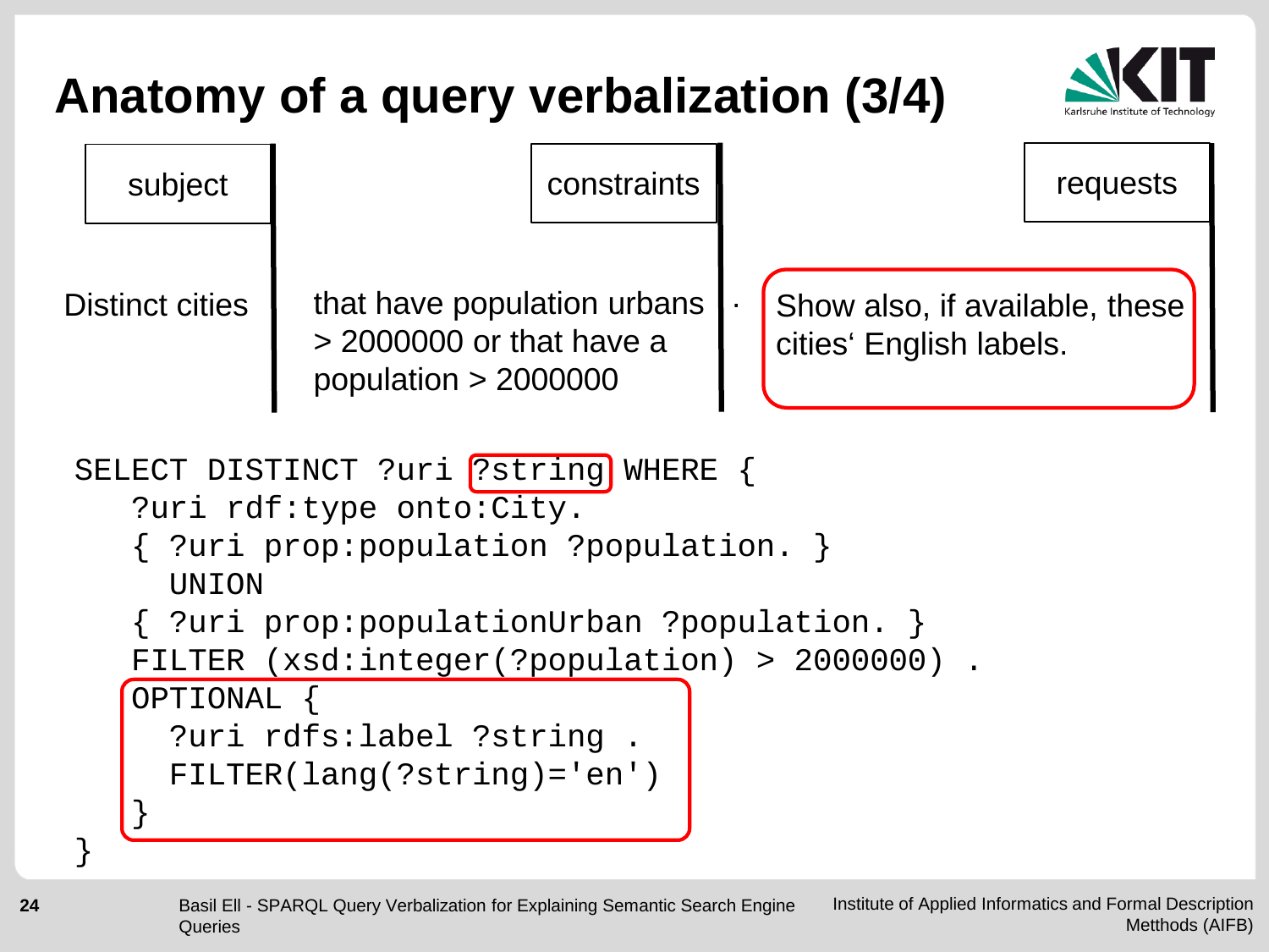

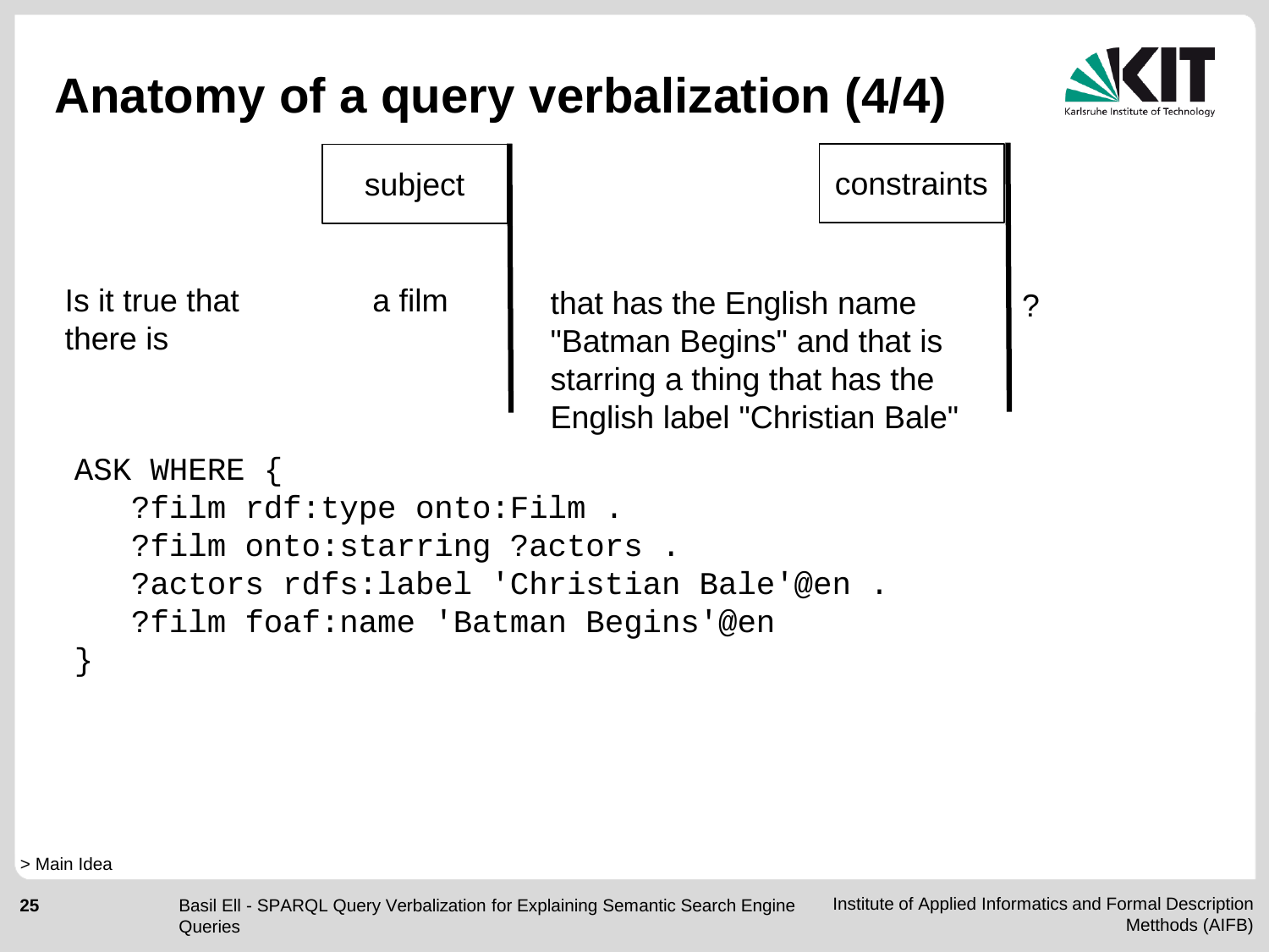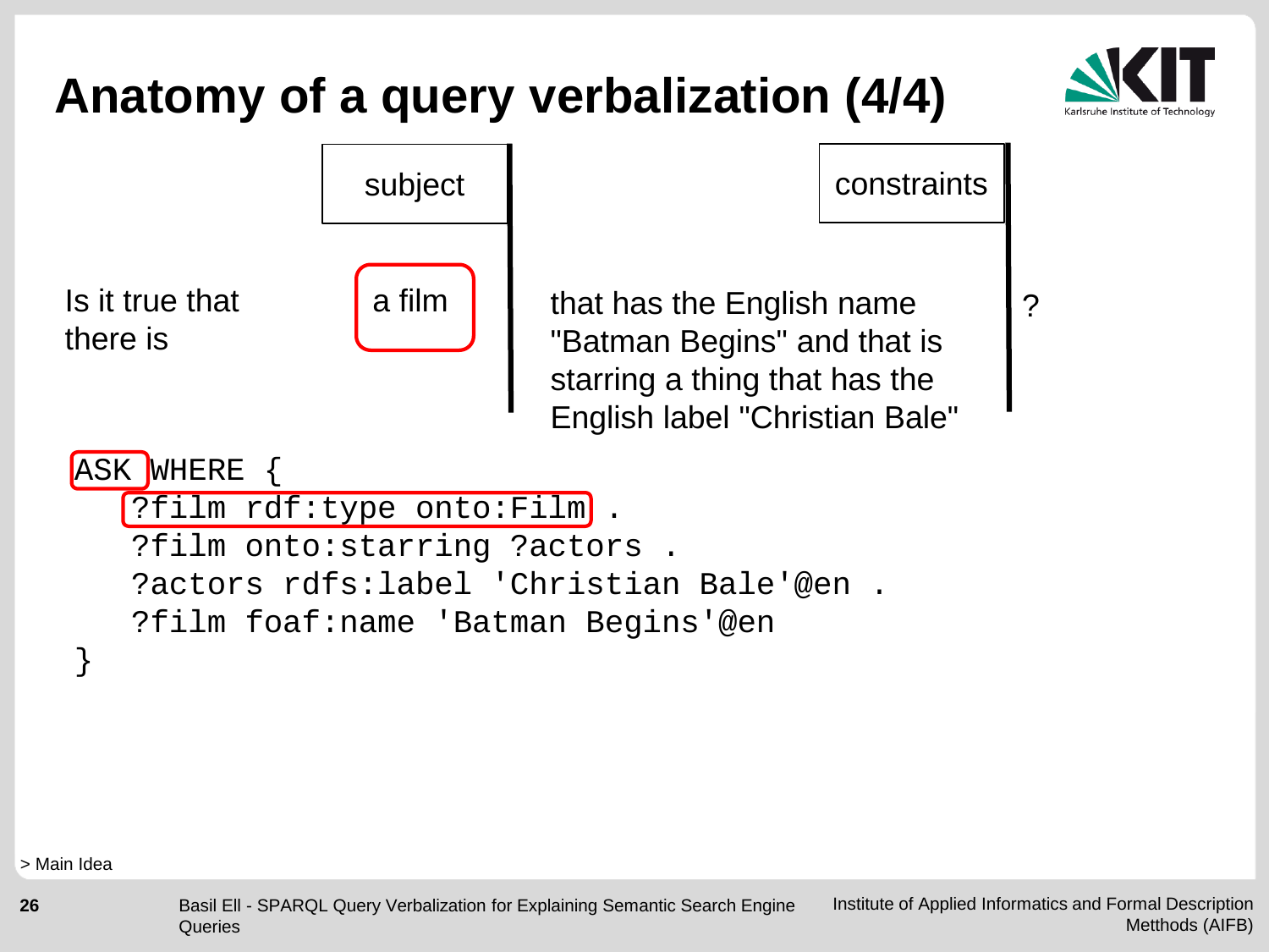

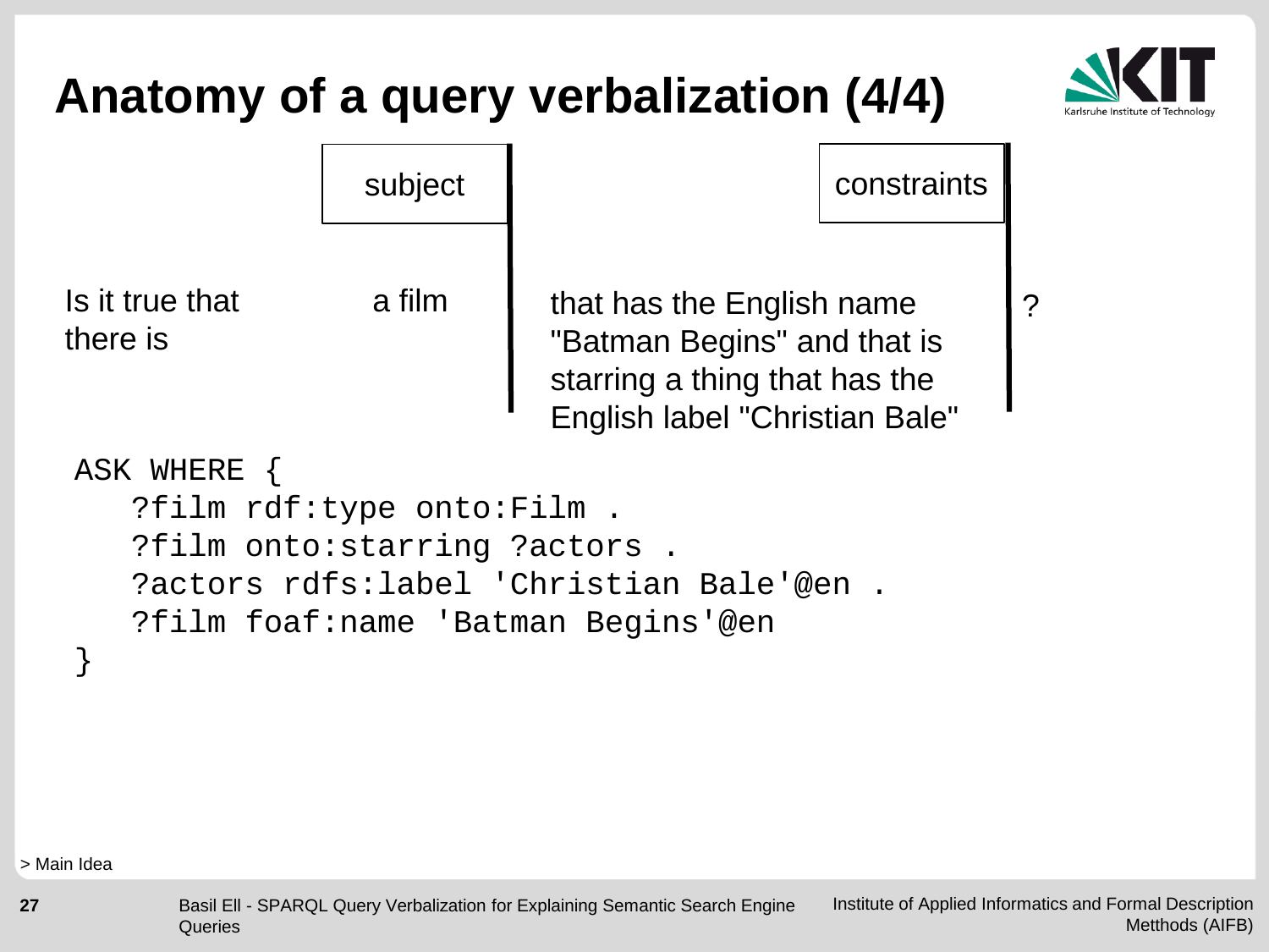

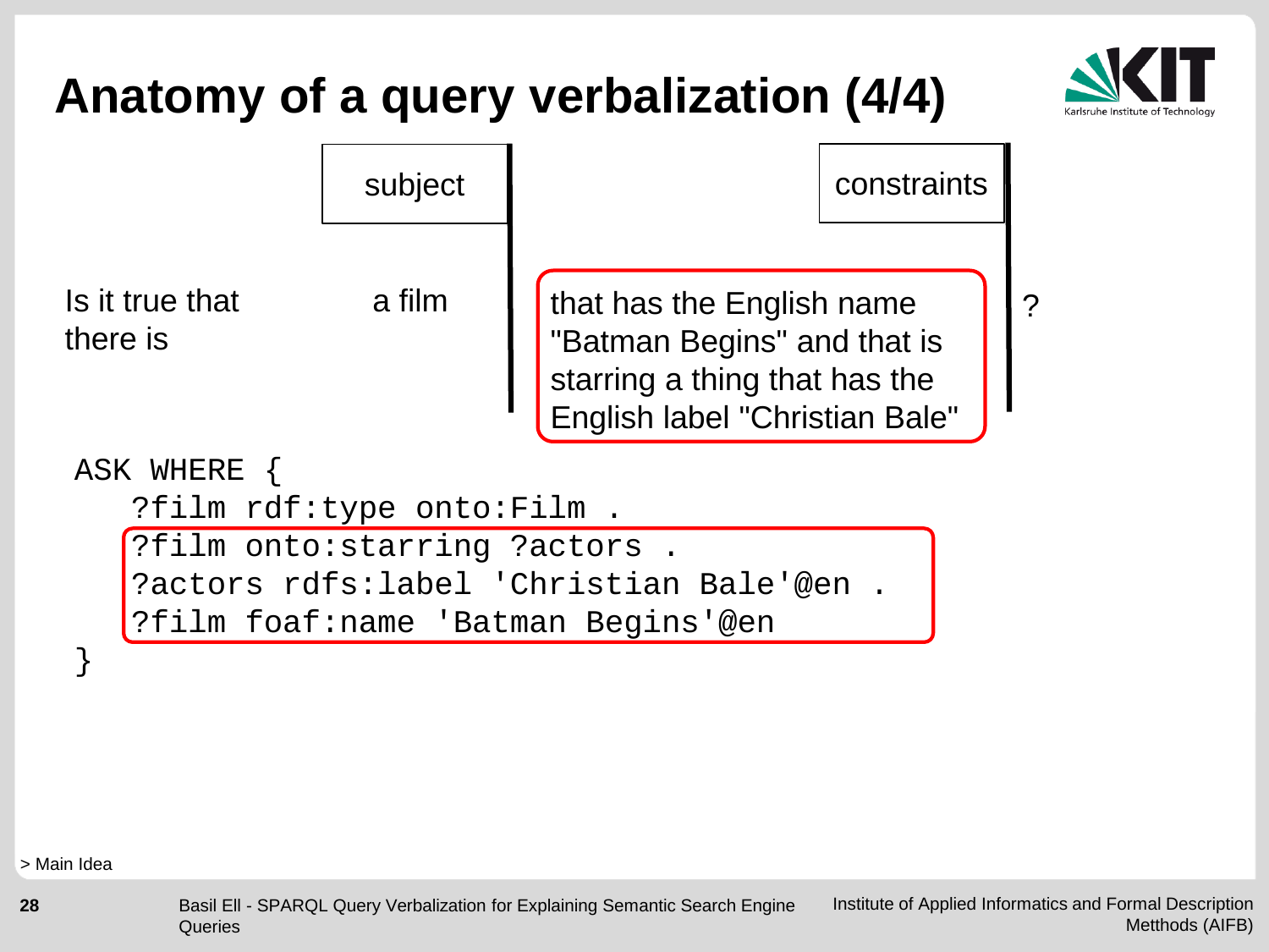



> Main Idea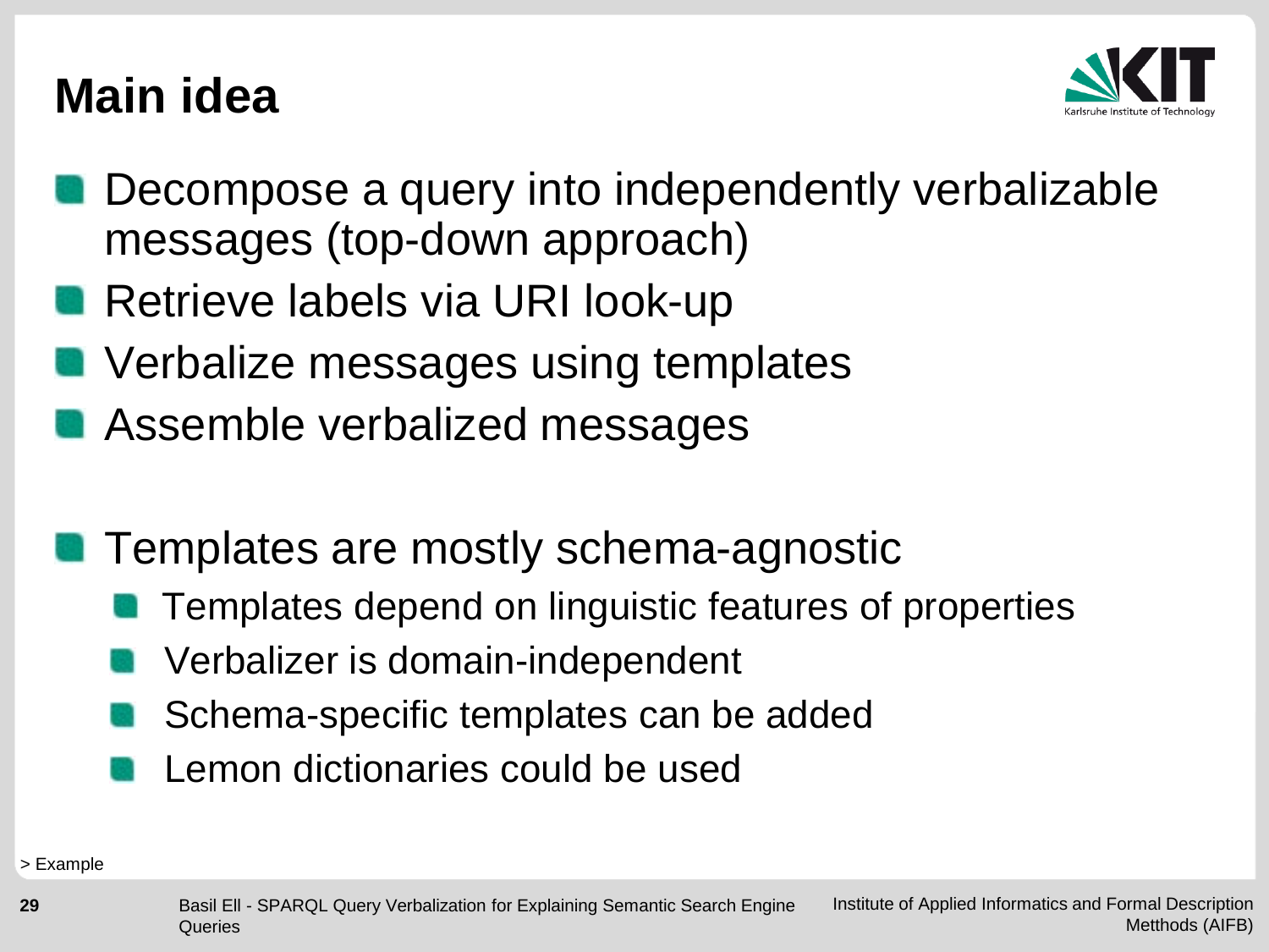#### **Main idea**



- Decompose a query into independently verbalizable messages (top-down approach)
- Retrieve labels via URI look-up
- **No Verbalize messages using templates**
- Assemble verbalized messages
- **Templates are mostly schema-agnostic** 
	- Templates depend on linguistic features of properties
	- Verbalizer is domain-independent
	- Schema-specific templates can be added
	- Lemon dictionaries could be used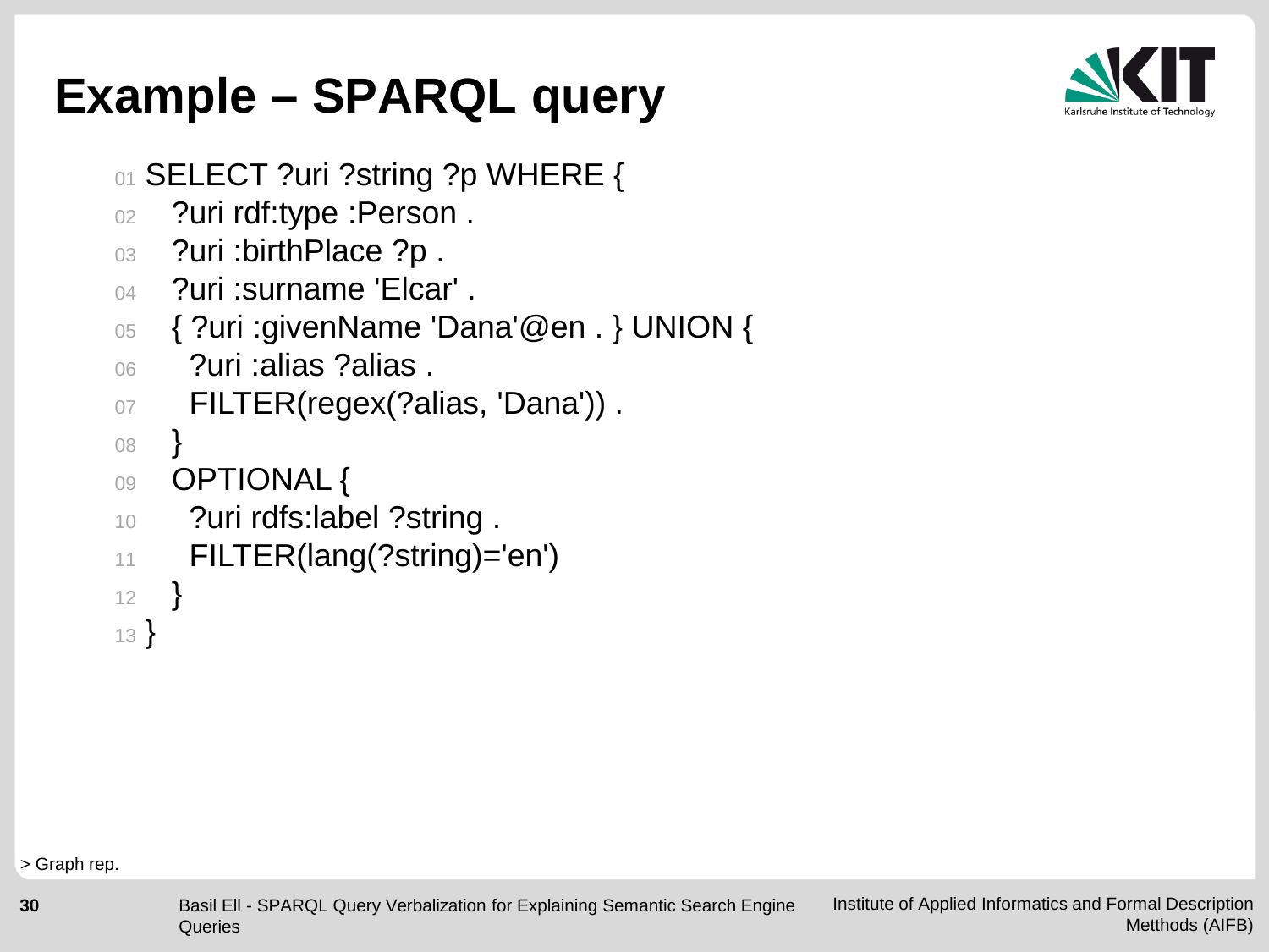

## **Example – SPARQL query**

- 01 SELECT ?uri ?string ?p WHERE {
- 02 ?uri rdf:type :Person.
- 03 ?uri : birth Place ?p.
- <sup>04</sup> ?uri :surname 'Elcar' .
- 05 { ?uri :givenName 'Dana'@en . } UNION {
- <sup>06</sup> ?uri :alias ?alias .

```
07 FILTER(regex(?alias, 'Dana')).
```

```
08 }
```

```
09 OPTIONAL {
```
- 10 ?uri rdfs:label ?string .
- <sup>11</sup> FILTER(lang(?string)='en')

```
12 }
```

```
13 }
```
> Graph rep.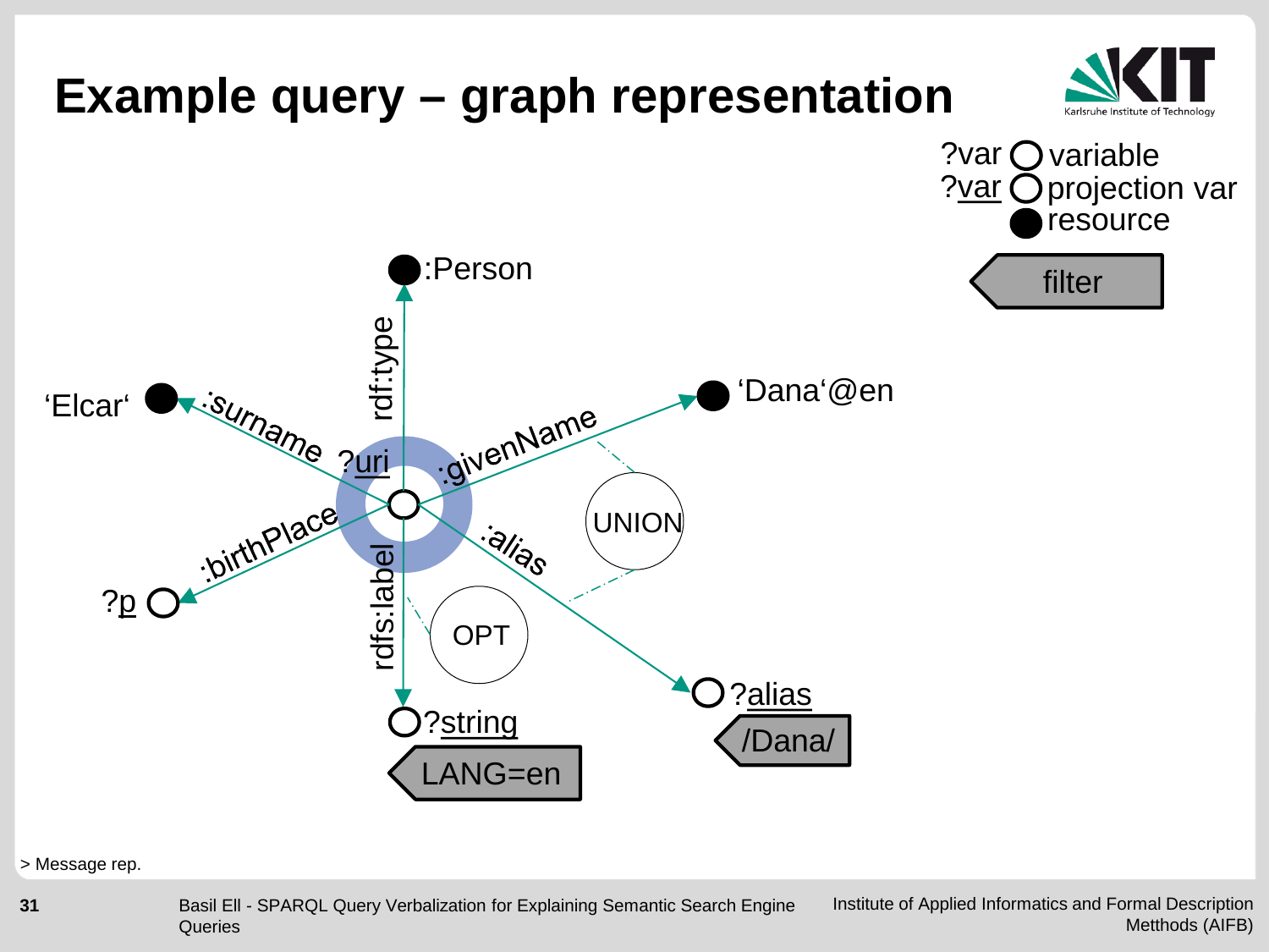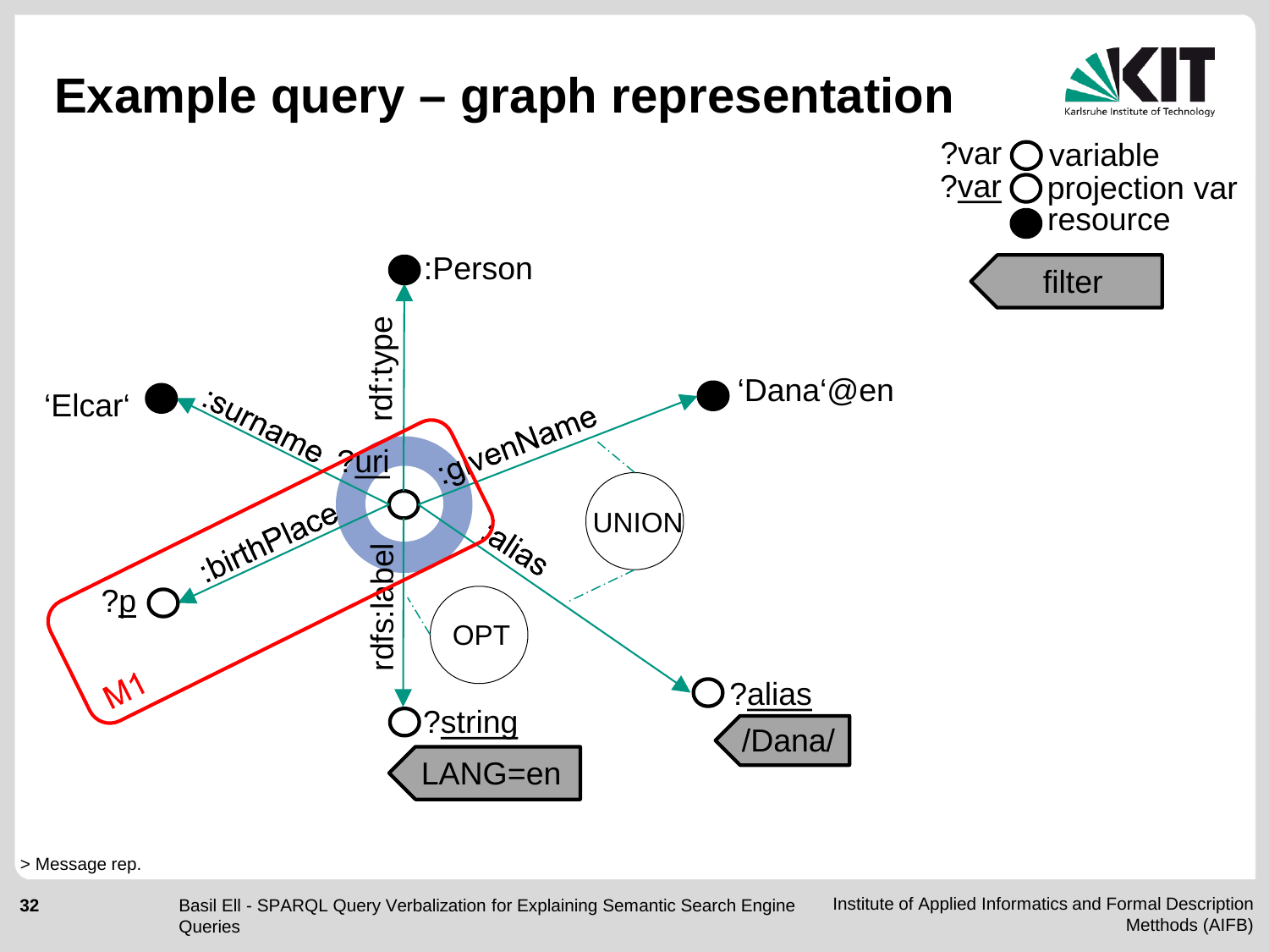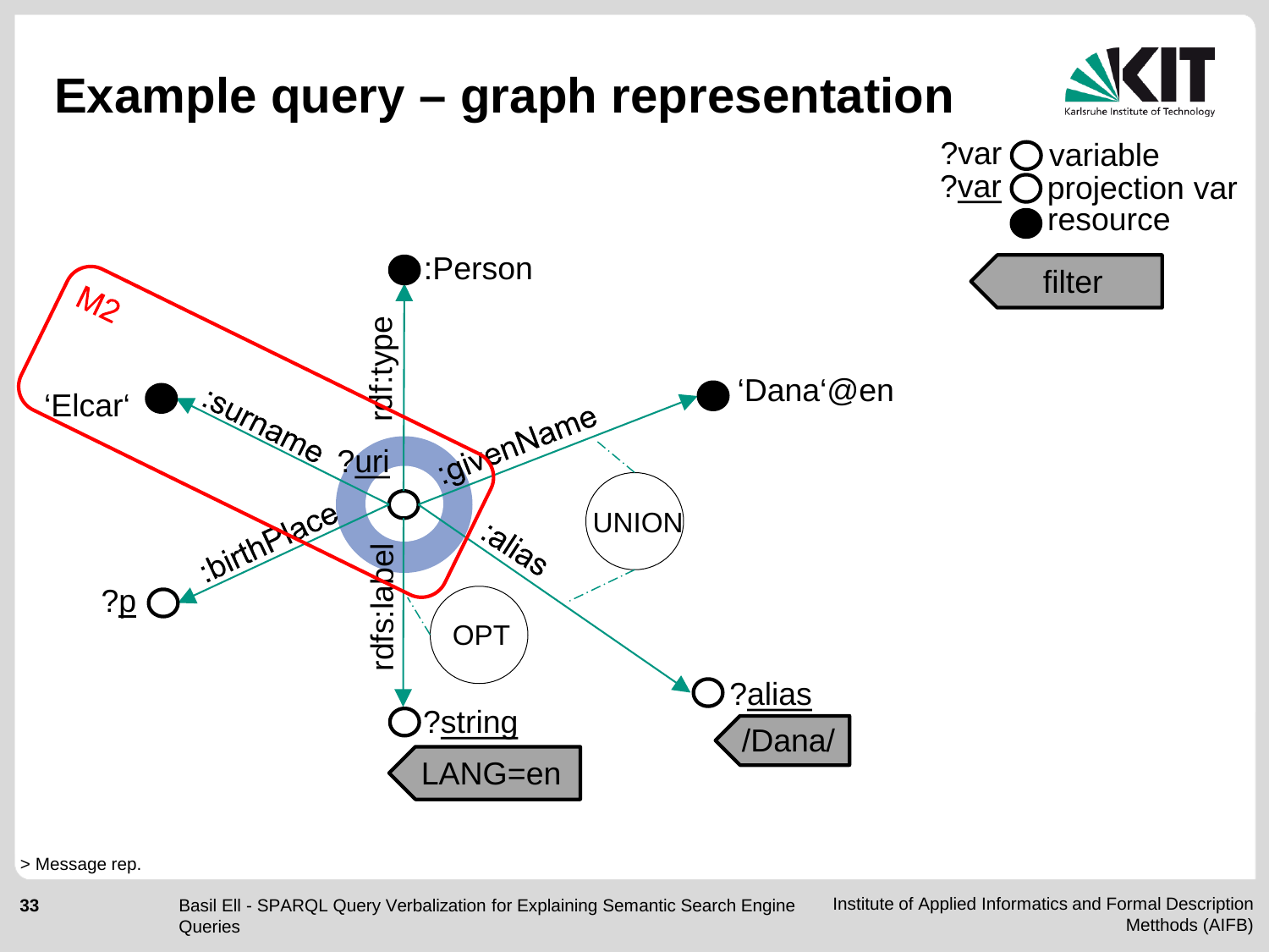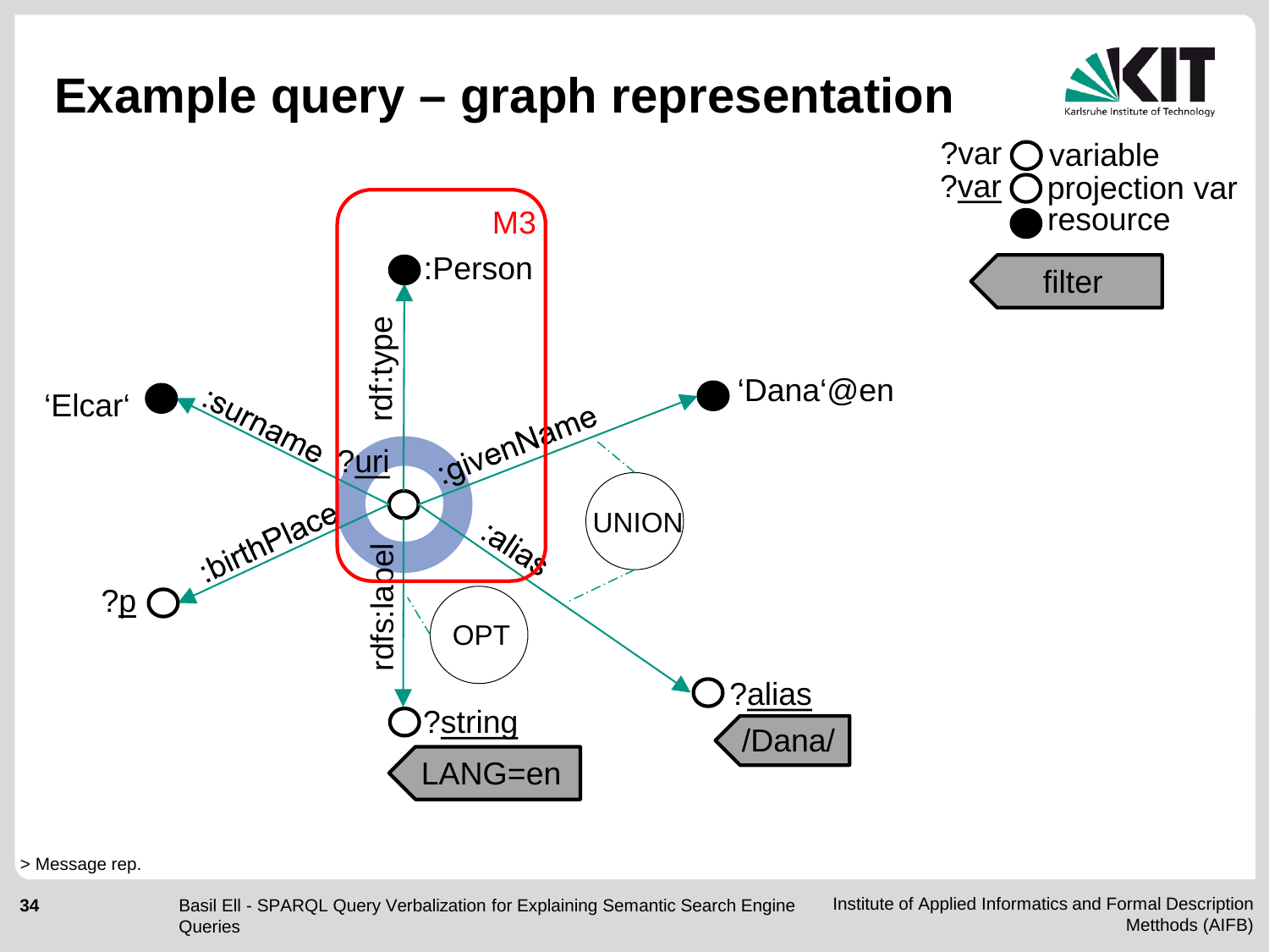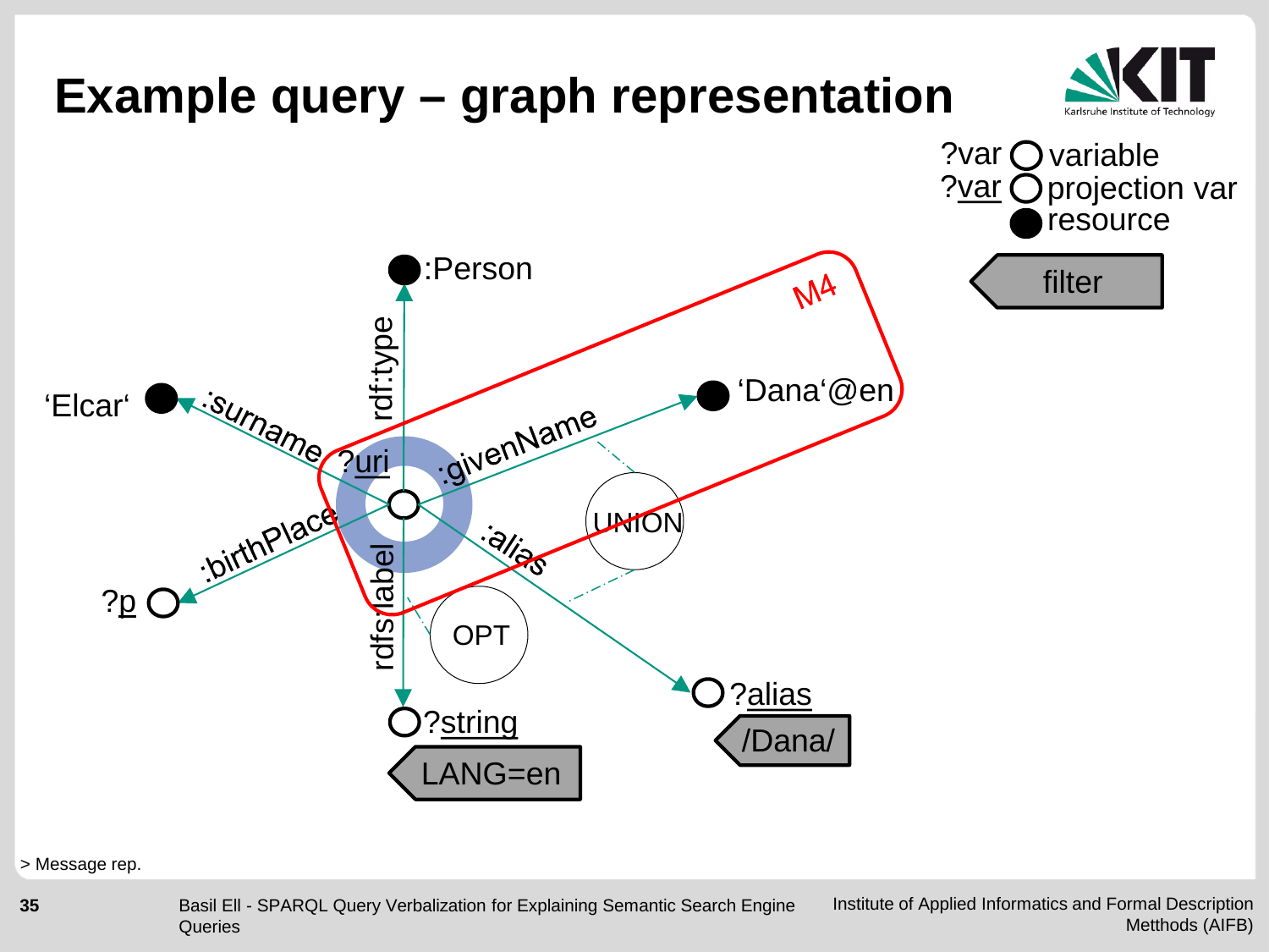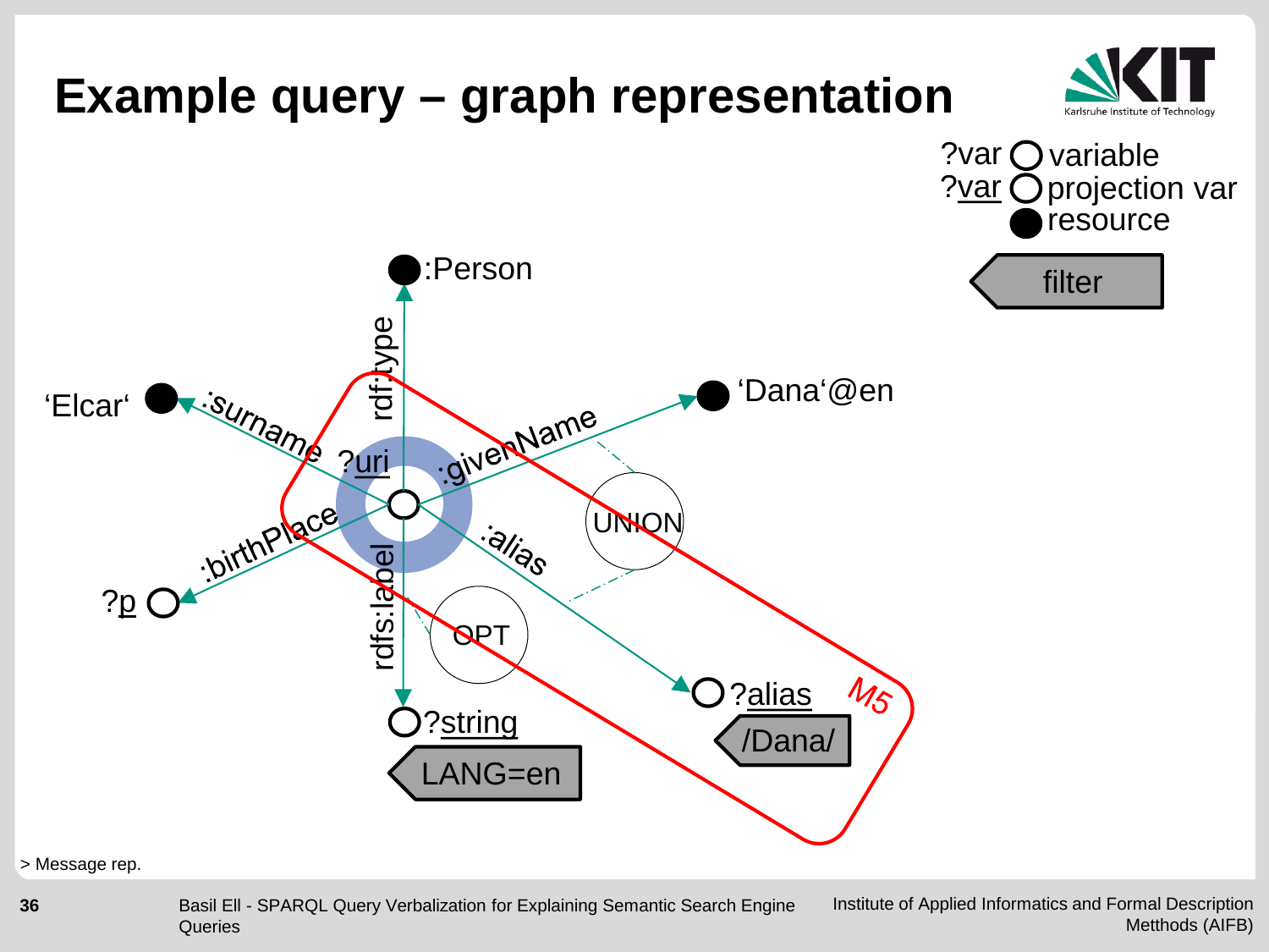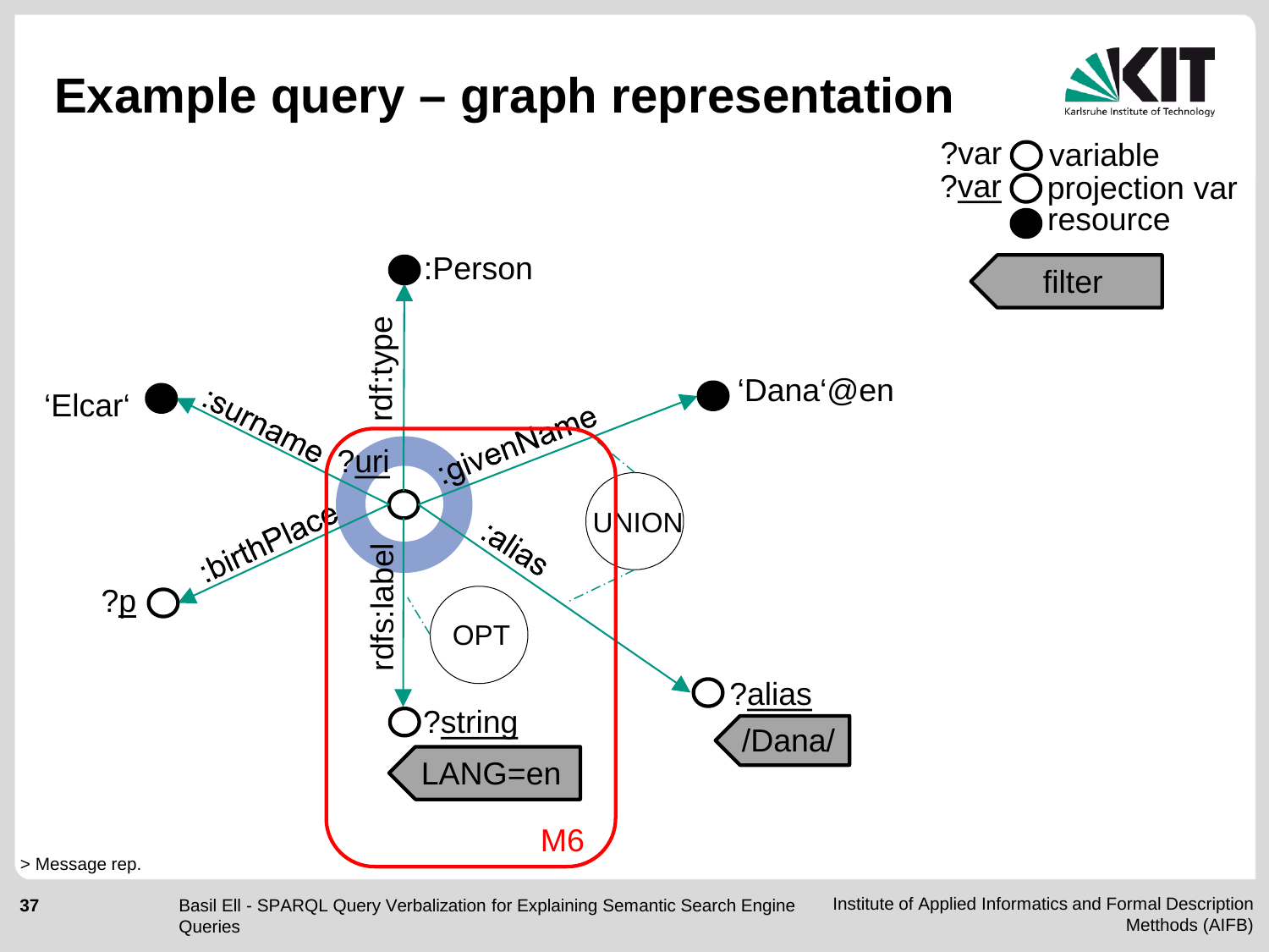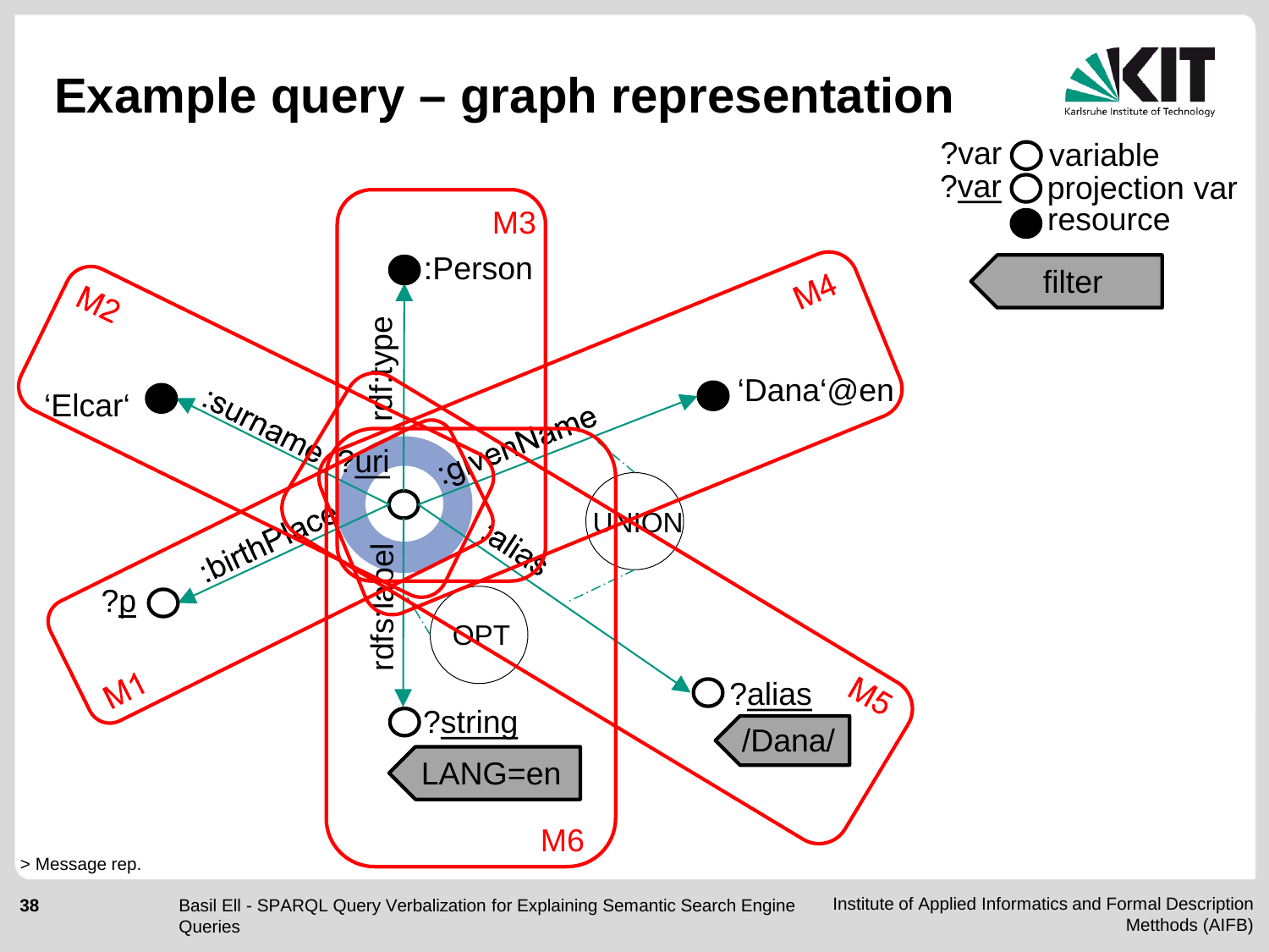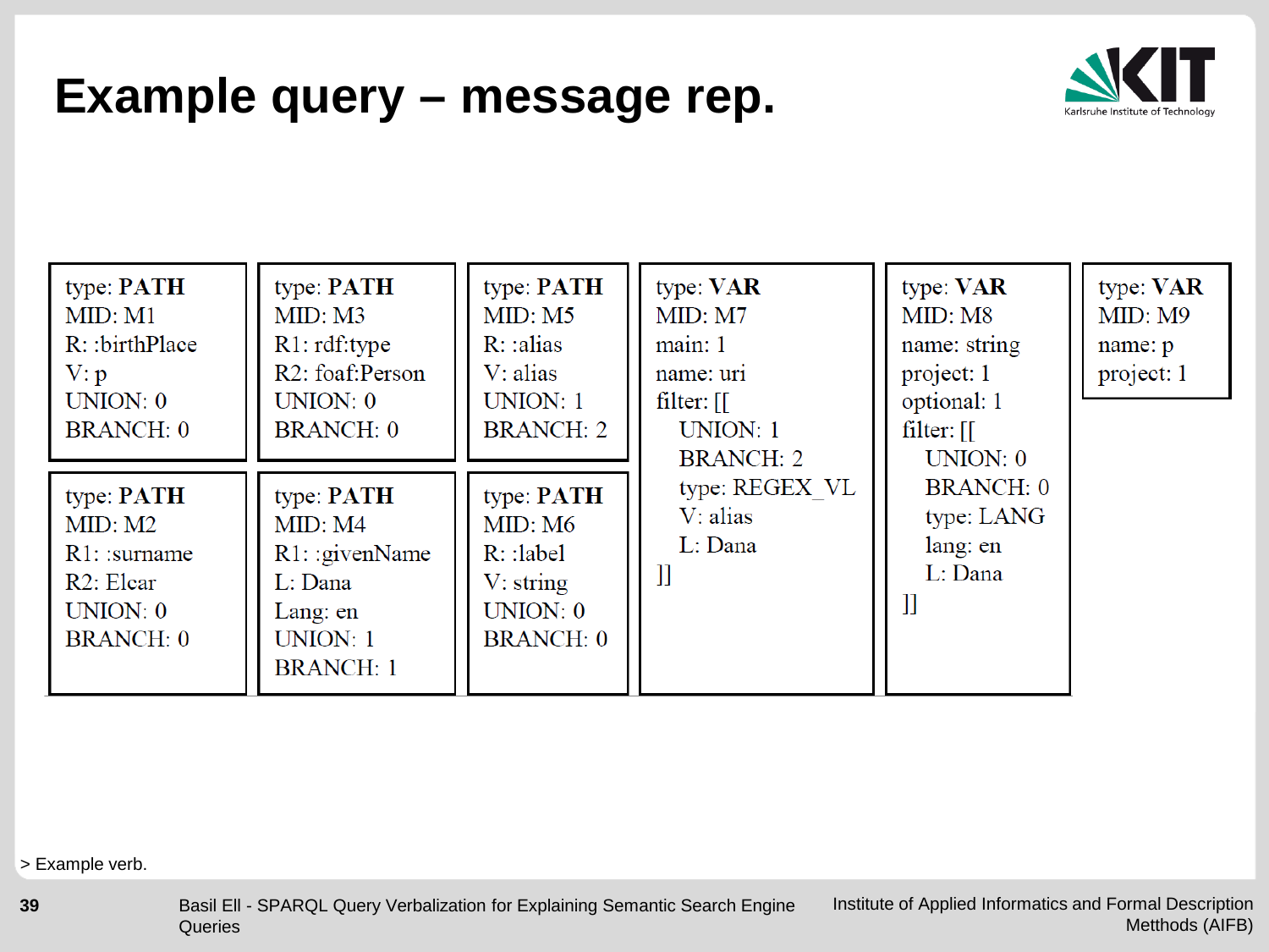#### **Example query – message rep.**



| type: PATH<br>MID: M1<br>$R$ : :birthPlace<br>V: p<br>UNION: 0<br><b>BRANCH: 0</b>           | type: PATH<br>MID: M3<br>R1: rdf: type<br>R <sub>2</sub> : foaf:Person<br>UNION: 0<br><b>BRANCH: 0</b>   | type: PATH<br>MID: M5<br>R: alias<br>$V: \alpha$ <i>lias</i><br>UNION: 1<br><b>BRANCH: 2</b> | type: VAR<br>MID: M7<br>main:1<br>name: uri<br>$filter:$ [[<br>UNION: 1<br><b>BRANCH: 2</b> | type: <b>VAR</b><br>MID: M8<br>name: string<br>project: 1<br>optional: 1<br>filter: $\lceil \rceil$<br>UNION: 0 | type: <b>VAR</b><br>MID: M9<br>name: p<br>project: 1 |
|----------------------------------------------------------------------------------------------|----------------------------------------------------------------------------------------------------------|----------------------------------------------------------------------------------------------|---------------------------------------------------------------------------------------------|-----------------------------------------------------------------------------------------------------------------|------------------------------------------------------|
| type: <b>PATH</b><br>MID: M2<br>$R1:$ : surname<br>R2: Elear<br>UNION: 0<br><b>BRANCH: 0</b> | type: <b>PATH</b><br>MID: M4<br>$R1:$ : givenName<br>L: Dana<br>Lang: en<br>UNION: 1<br><b>BRANCH: 1</b> | type: <b>PATH</b><br>MID: M6<br>$R$ : :label<br>$V:$ string<br>UNION: 0<br><b>BRANCH: 0</b>  | type: REGEX VL<br>$V: \mathbf{alias}$<br>L: Dana<br>11                                      | <b>BRANCH: 0</b><br>type: LANG<br>lang: en<br>L: Dana<br>]]                                                     |                                                      |

> Example verb.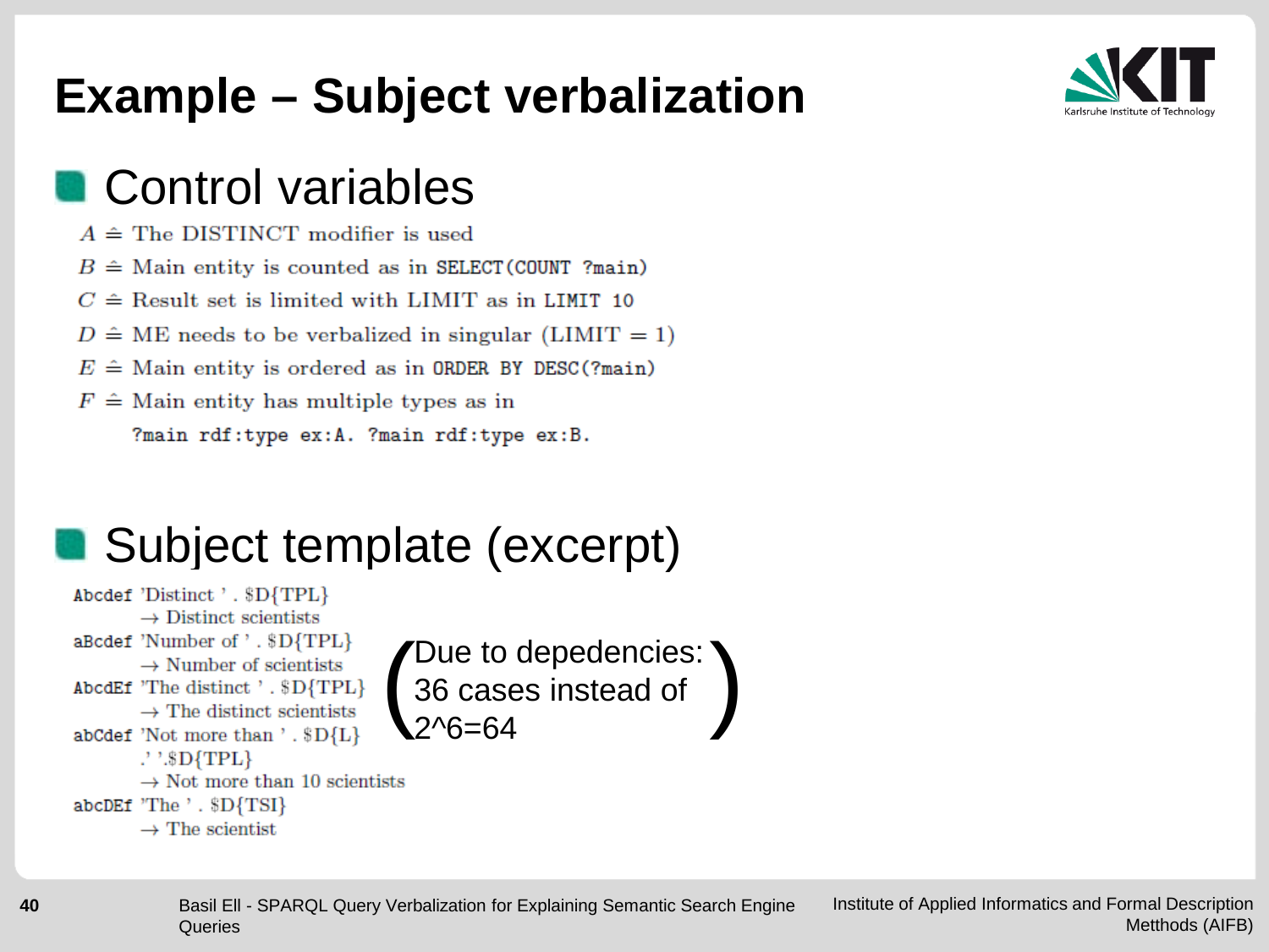#### **Example – Subject verbalization**



#### **Control variables**

- $A \triangleq$  The DISTINCT modifier is used
- $B \triangleq$  Main entity is counted as in SELECT (COUNT ?main)
- $C \triangleq$  Result set is limited with LIMIT as in LIMIT 10
- $D \hat{=} ME$  needs to be verbalized in singular (LIMIT = 1)
- $E \triangleq$  Main entity is ordered as in ORDER BY DESC(?main)
- $F \triangleq$  Main entity has multiple types as in

?main rdf:type ex:A. ?main rdf:type ex:B.

#### Subject template (excerpt)

Abcdef 'Distinct ' . \$D{TPL}  $\rightarrow$  Distinct scientists aBcdef 'Number of '. \$D{TPL}  $\rightarrow$  Number of scientists AbcdEf 'The distinct'. \$D{TPL}  $\rightarrow$  The distinct scientists abCdef 'Not more than '. \$D{L}  $\cdot$ ' $\cdot$  $SD$ {TPL}  $\rightarrow$  Not more than 10 scientists abcDEf 'The ' . \$D{TSI}  $\rightarrow$  The scientist

Due to depedencies: 36 cases instead of  $\left( \begin{array}{l} \text{Due to dependencies:} \\ \text{36 cases instead of} \\ 2^{\wedge}6=64 \end{array} \right)$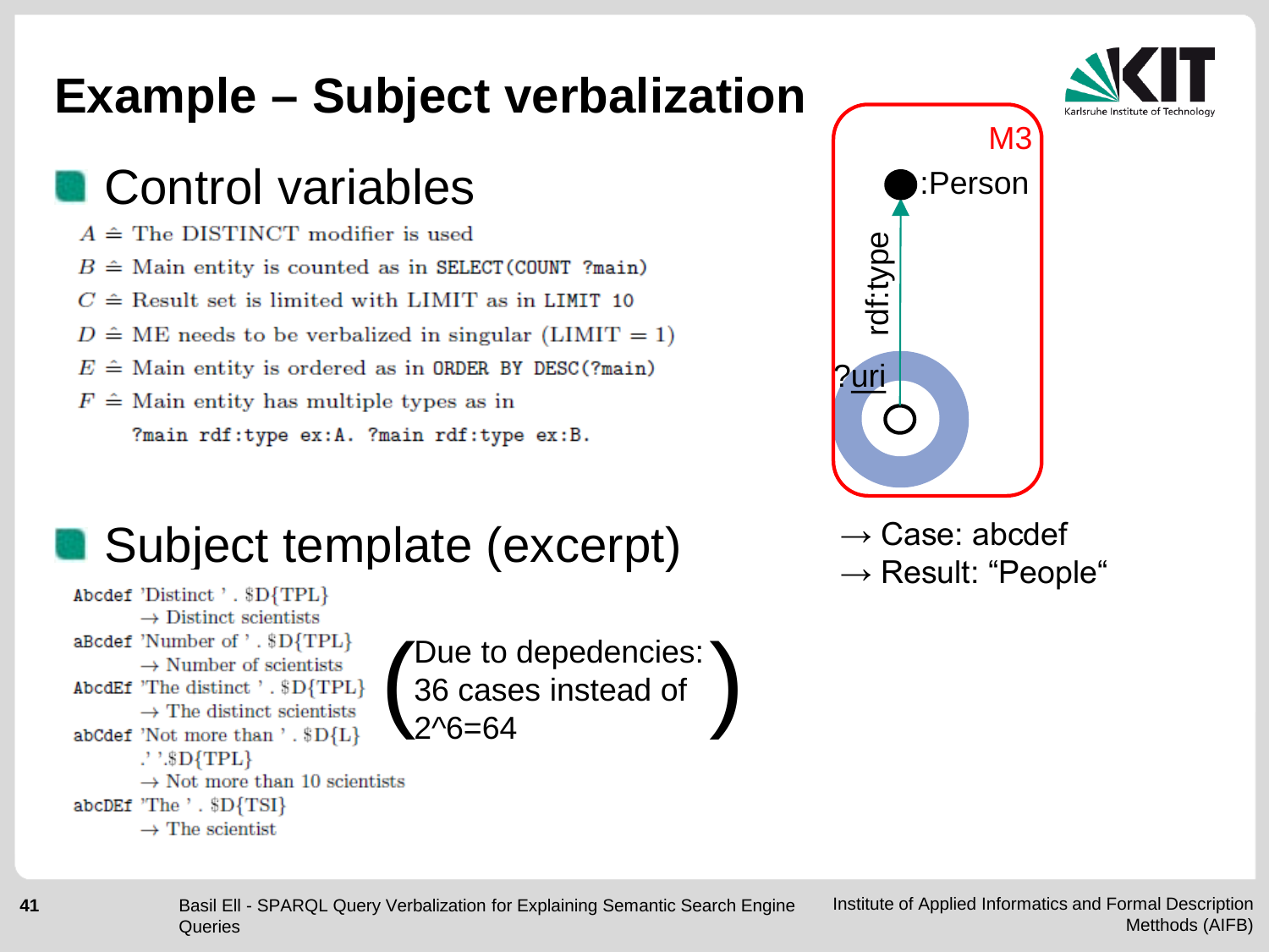#### **Example – Subject verbalization**

#### Control variables

- $A \triangleq$  The DISTINCT modifier is used
- $B \triangleq$  Main entity is counted as in SELECT (COUNT ?main)
- $C \triangleq$  Result set is limited with LIMIT as in LIMIT 10
- $D \hat{=} ME$  needs to be verbalized in singular (LIMIT = 1)
- $E \triangleq$  Main entity is ordered as in ORDER BY DESC(?main)
- $F \triangleq$  Main entity has multiple types as in

?main rdf:type ex:A. ?main rdf:type ex:B.

#### $\blacksquare$  Subject template (excerpt)  $\rightarrow$  Case: abcdef

Abcdef 'Distinct ' . \$D{TPL}  $\rightarrow$  Distinct scientists aBcdef 'Number of '. \$D{TPL}  $\rightarrow$  Number of scientists AbcdEf 'The distinct'. \$D{TPL}  $\rightarrow$  The distinct scientists abCdef 'Not more than '. \$D{L} .'  $\mathbb{S}D$ {TPL}  $\rightarrow$  Not more than 10 scientists abcDEf 'The ' . \$D{TSI}  $\rightarrow$  The scientist

Due to depedencies: ' 36 cases instead of  $\left( \begin{array}{l} \text{Due to dependencies:} \\ \text{36 cases instead of} \\ 2^{\wedge}6=64 \end{array} \right)$ 



- 
- $\rightarrow$  Result: "People"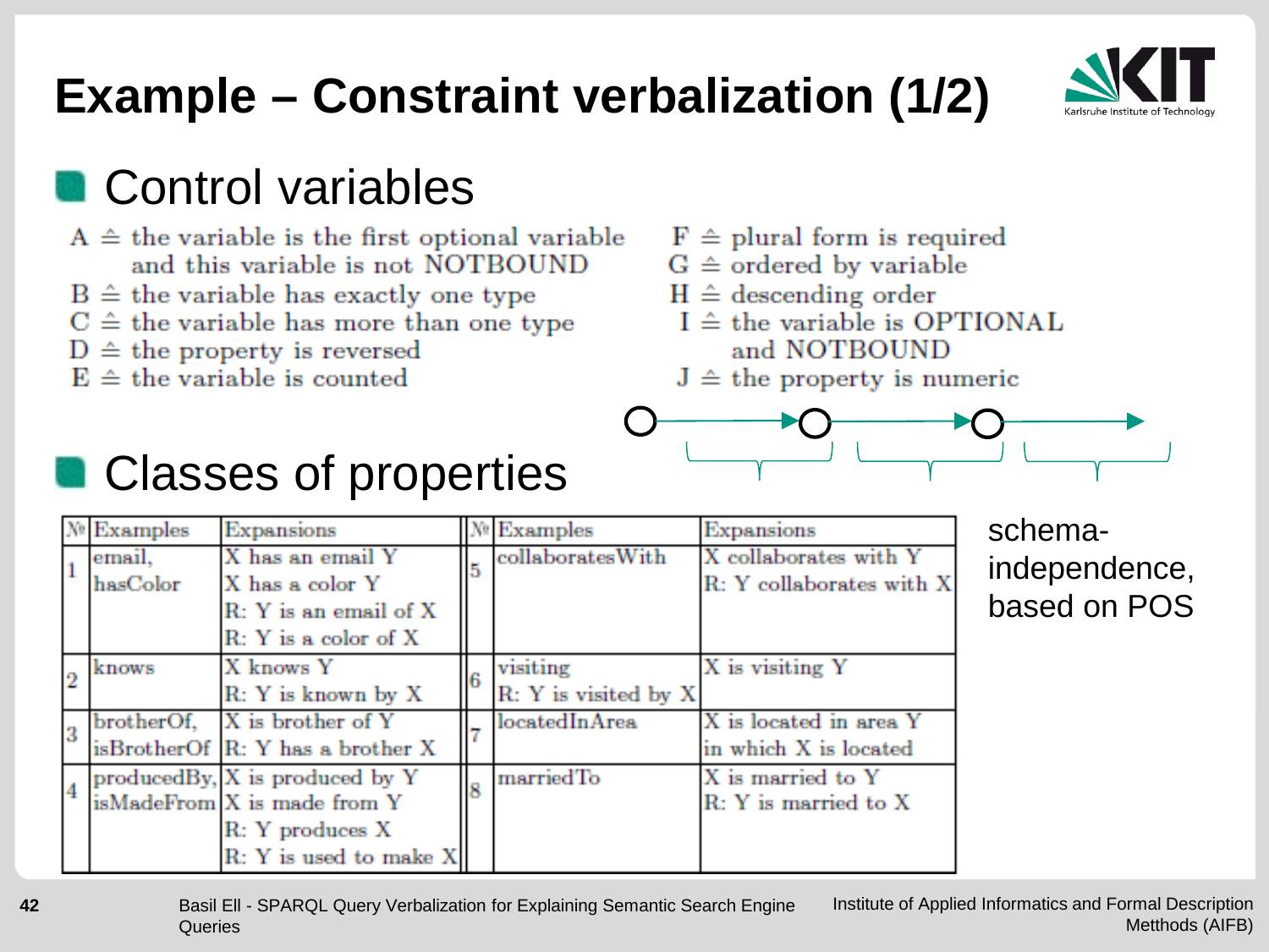## **Example – Constraint verbalization (1/2)**



#### **Control variables**

- $A \triangleq$  the variable is the first optional variable and this variable is not NOTBOUND
- $B \triangleq$  the variable has exactly one type
- $C \hat{=}$  the variable has more than one type
- $D \triangleq$  the property is reversed
- $E \triangleq$  the variable is counted
- $F \triangleq$  plural form is required
- $G \triangleq$  ordered by variable
- $H \triangleq$  descending order
- $I \triangleq$  the variable is OPTIONAL and NOTBOUND
- $J \triangleq$  the property is numeric



#### **Classes of properties**

|  | $N$ Examples | Expansions                       |     | $N$ Examples          | Expansions               |
|--|--------------|----------------------------------|-----|-----------------------|--------------------------|
|  | email,       | X has an email Y                 |     | collaboratesWith      | X collaborates with Y    |
|  | hasColor     | X has a color Y                  | ls. |                       | R: Y collaborates with X |
|  |              | R: Y is an email of X            |     |                       |                          |
|  |              | $R: Y$ is a color of $X$         |     |                       |                          |
|  | knows        | X knows Y                        | l6. | visiting              | X is visiting Y          |
|  |              | R: Y is known by X               |     | R: Y is visited by X. |                          |
|  |              | brotherOf, X is brother of Y     |     | locatedInArea         | X is located in area Y   |
|  |              | isBrotherOf R: Y has a brother X |     |                       | in which X is located    |
|  |              | producedBy, X is produced by Y   |     | marriedTo             | X is married to Y        |
|  |              | isMadeFrom X is made from Y      |     |                       | R: Y is married to X     |
|  |              | R: Y produces X                  |     |                       |                          |
|  |              | R: Y is used to make X           |     |                       |                          |

schemaindependence, based on POS

Institute of Applied Informatics and Formal Description Metthods (AIFB) Basil Ell - SPARQL Query Verbalization for Explaining Semantic Search Engine **Queries**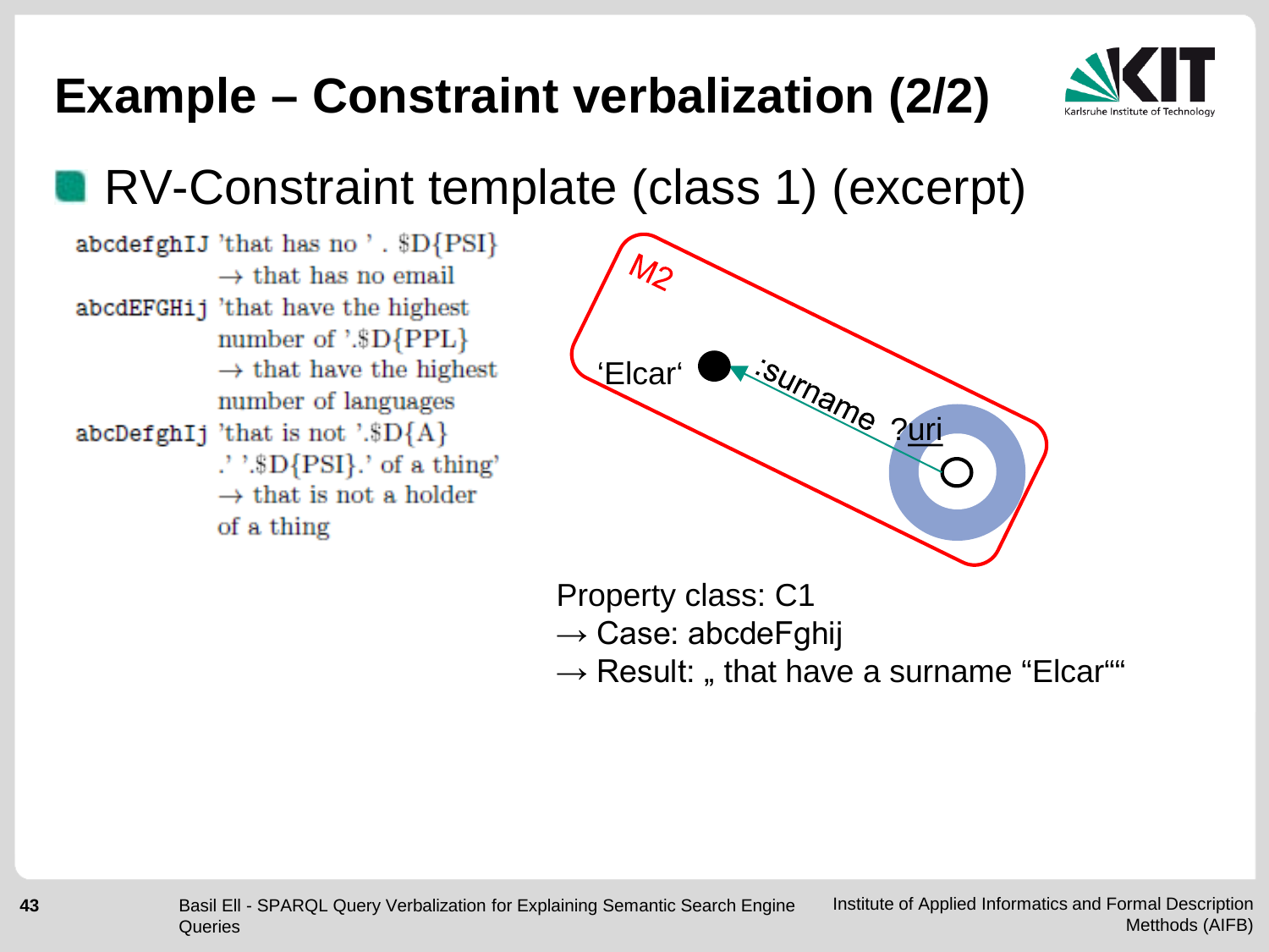

## **Example – Constraint verbalization (2/2)**

#### **RV-Constraint template (class 1) (excerpt)**

abcdefghIJ 'that has no'. \$D{PSI}  $\rightarrow$  that has no email abcdEFGH<sub>i</sub> 'that have the highest number of '.\$D{PPL}  $\rightarrow$  that have the highest number of languages abcDefghIj 'that is not '.\$D ${A}$  $\cdot$  '.\$D{PSI}.' of a thing'  $\rightarrow$  that is not a holder of a thing



Property class: C1

 $\rightarrow$  Case: abcdeFghij

 $\rightarrow$  Result: " that have a surname "Elcar""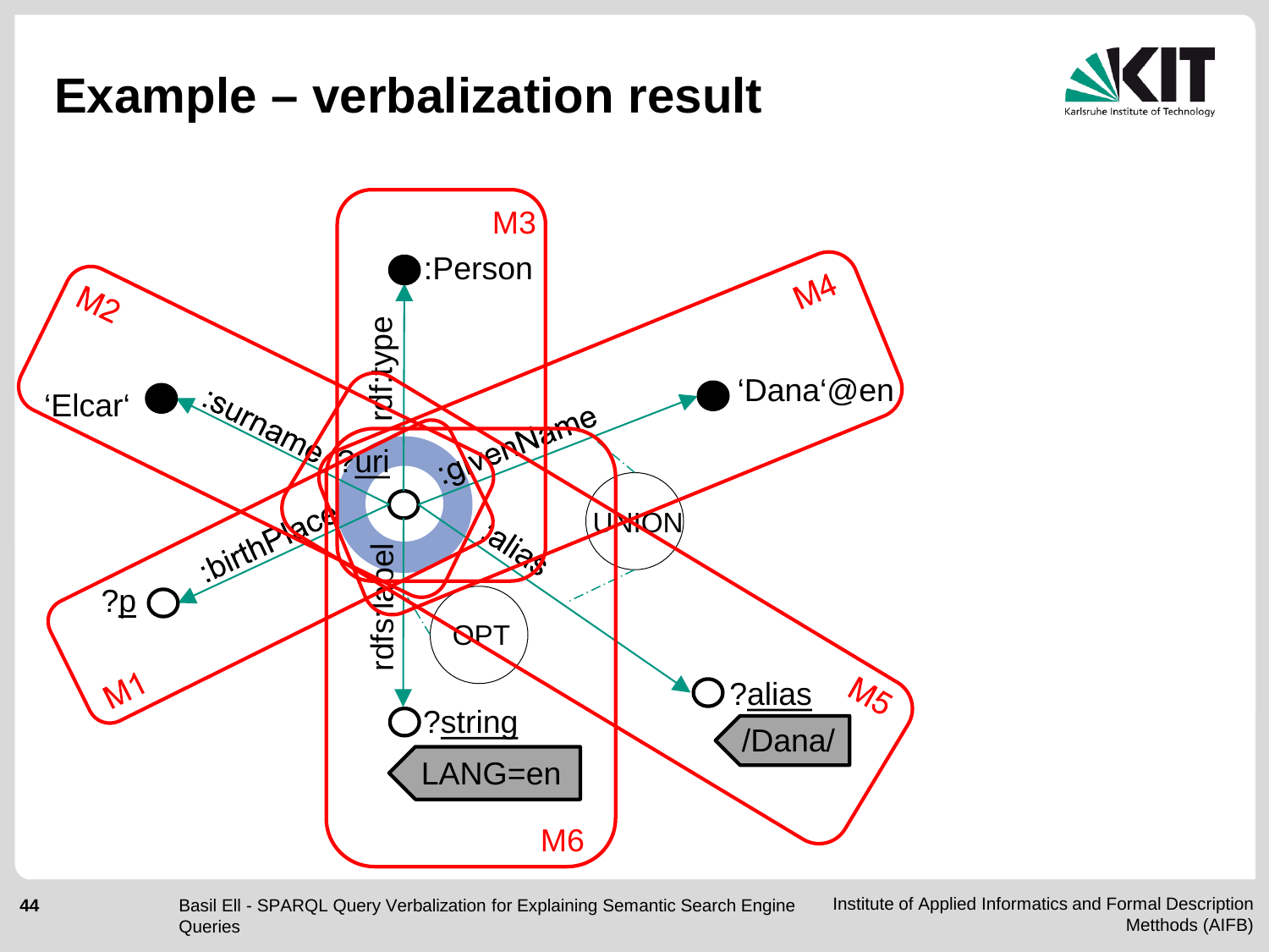#### **Example – verbalization result**



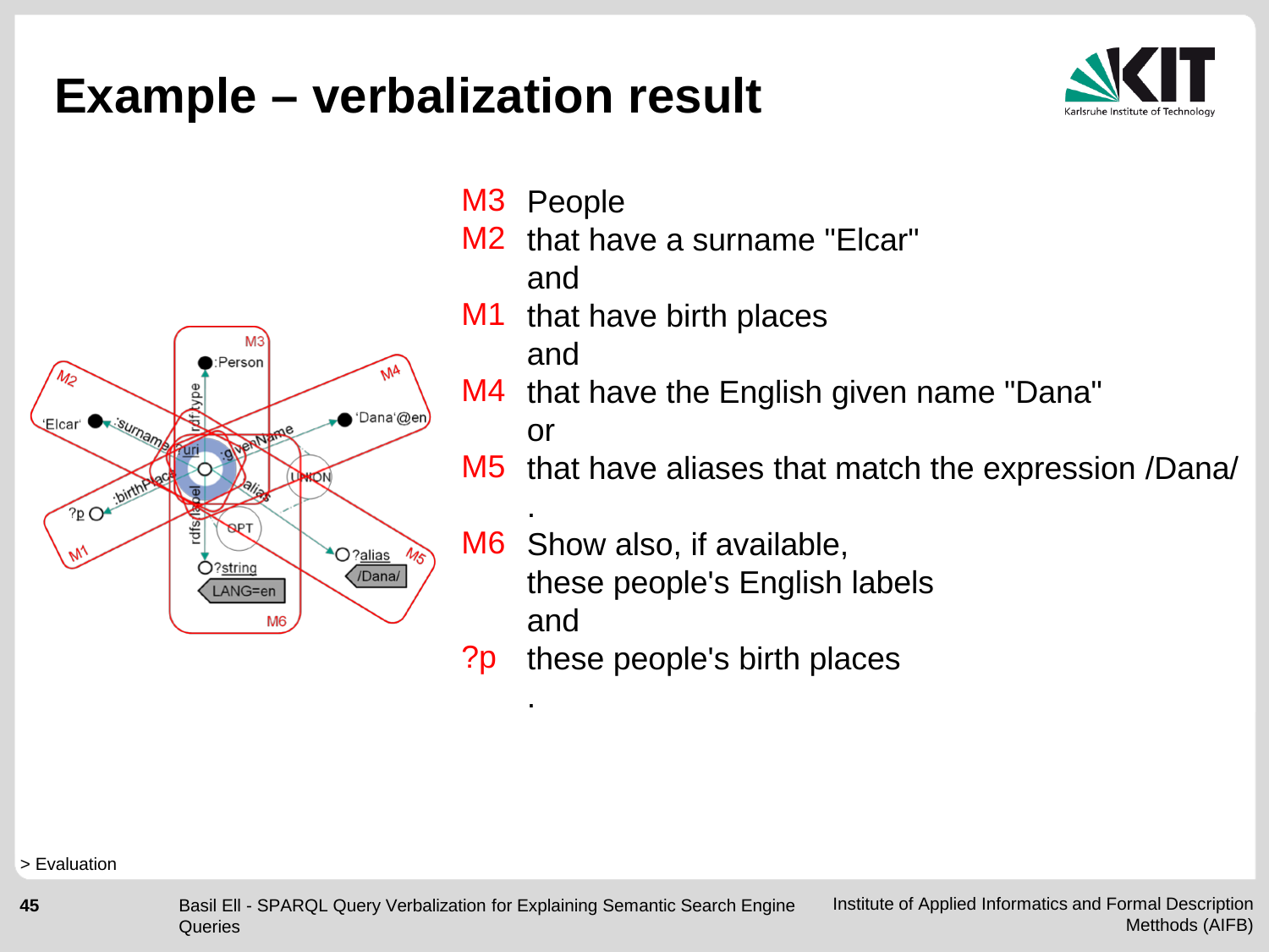#### **Example – verbalization result**





- M3 People
- M2 that have a surname "Elcar" and
- M1 that have birth places

and

.

- M4 that have the English given name "Dana" or
- that have aliases that match the expression /Dana/ M5
- . M6 Show also, if available, these people's English labels and
- these people's birth places ?p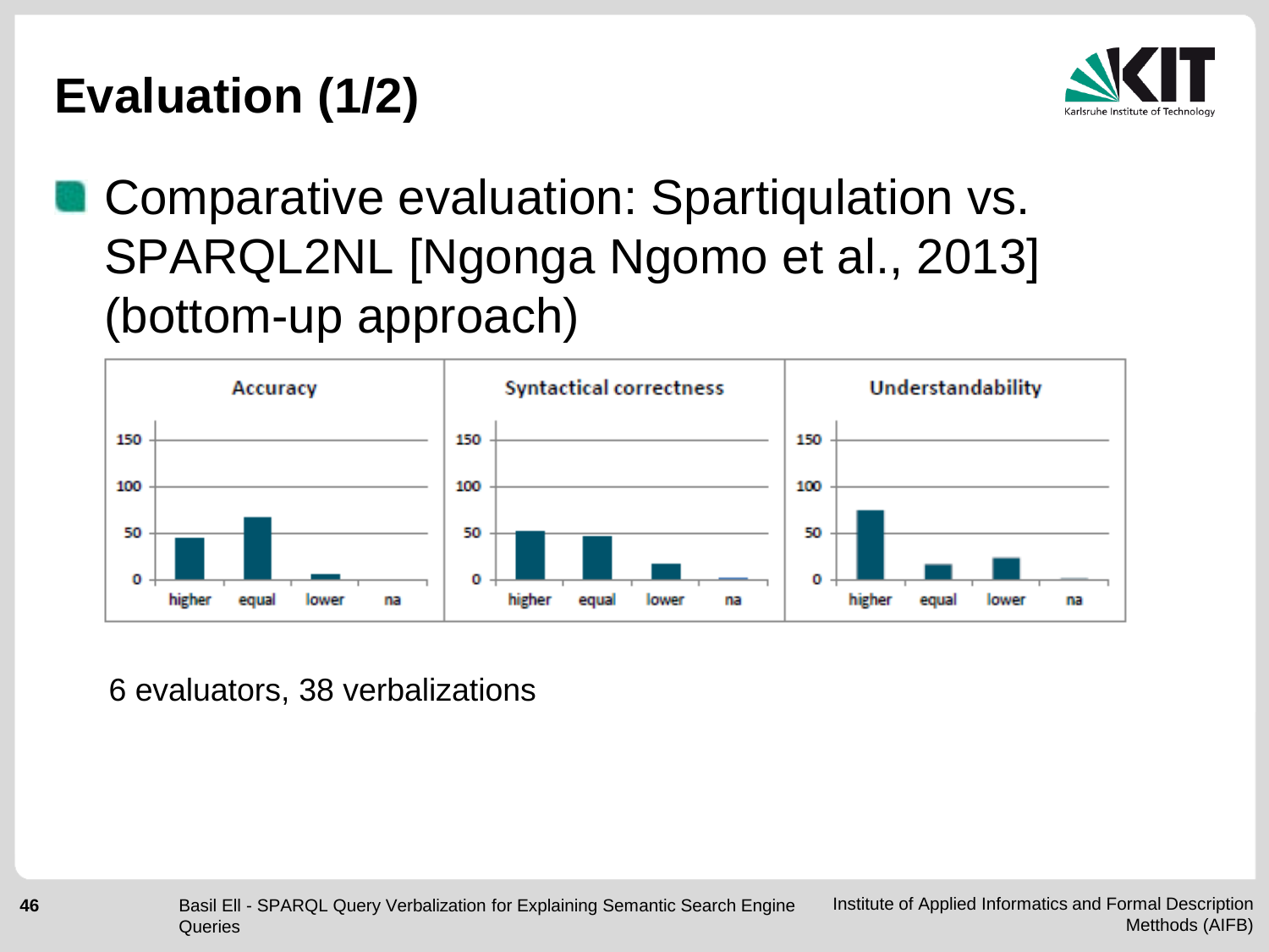### **Evaluation (1/2)**



#### **Comparative evaluation: Spartiqulation vs.** SPARQL2NL [Ngonga Ngomo et al., 2013] (bottom-up approach)



6 evaluators, 38 verbalizations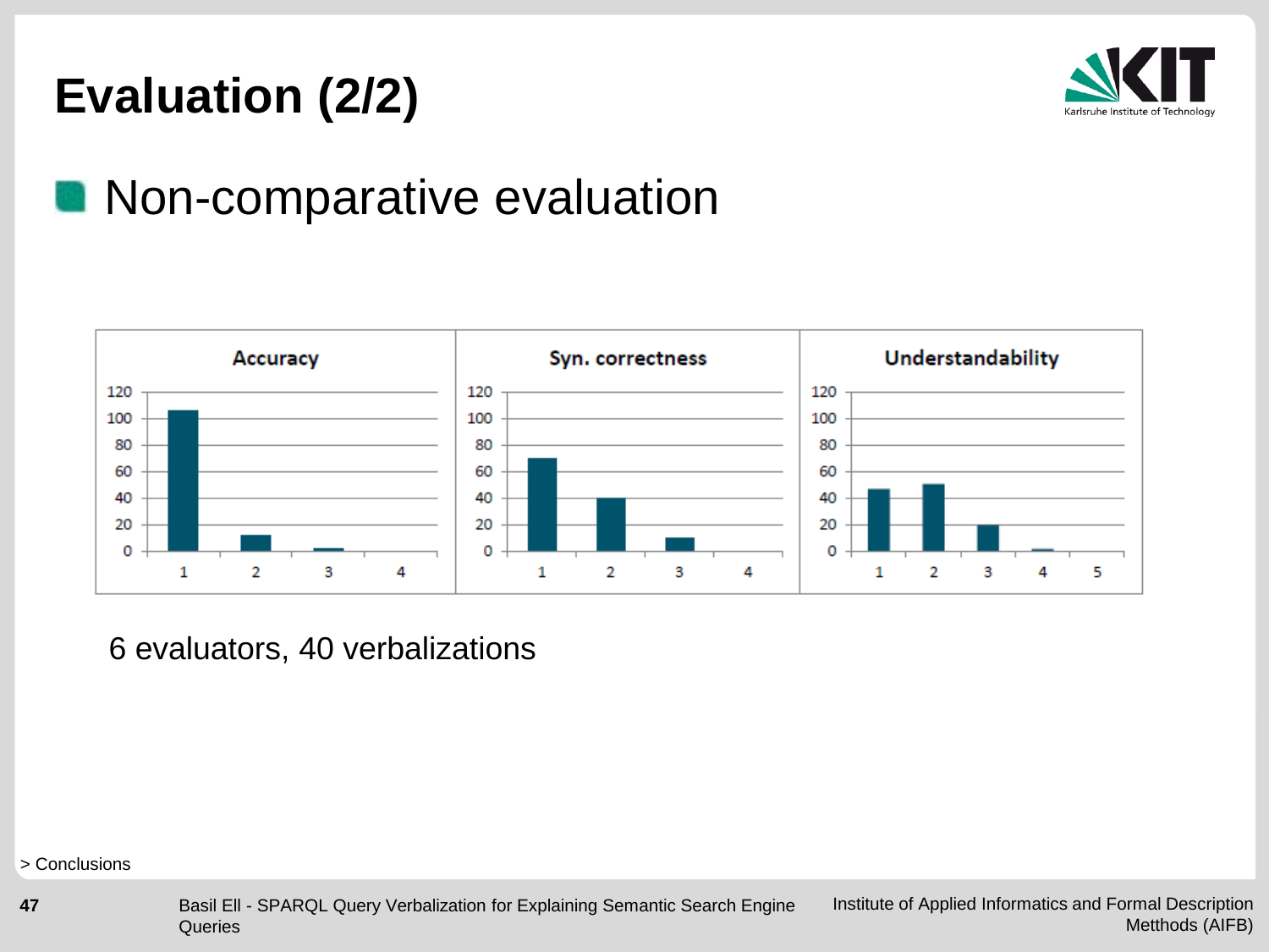#### **Evaluation (2/2)**



#### **Non-comparative evaluation**



6 evaluators, 40 verbalizations

> Conclusions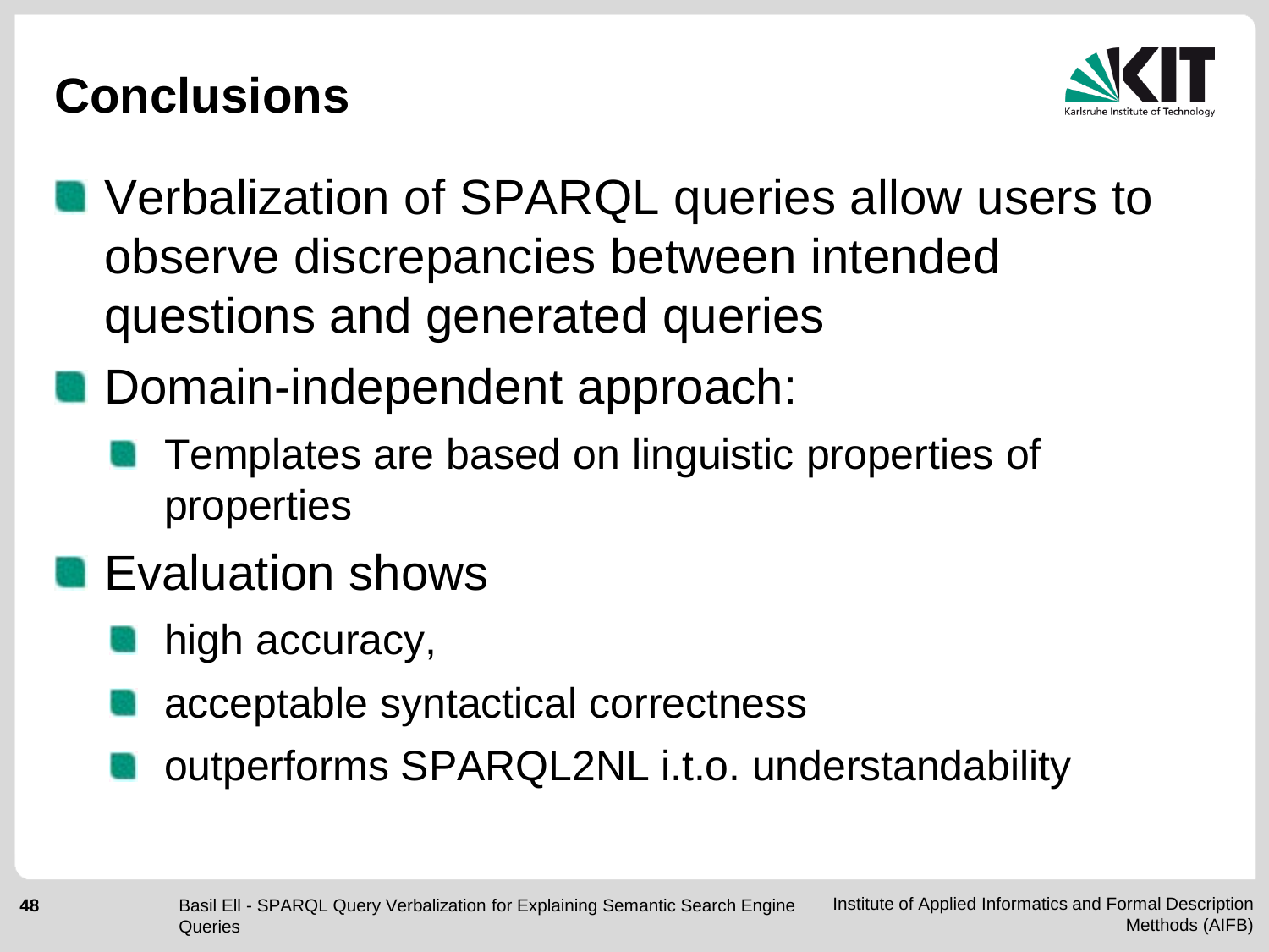#### **Conclusions**



- **No Verbalization of SPARQL queries allow users to** observe discrepancies between intended questions and generated queries
- Domain-independent approach:
	- Templates are based on linguistic properties of properties
- **Exaluation shows** 
	- high accuracy,
	- acceptable syntactical correctness
	- outperforms SPARQL2NL i.t.o. understandability